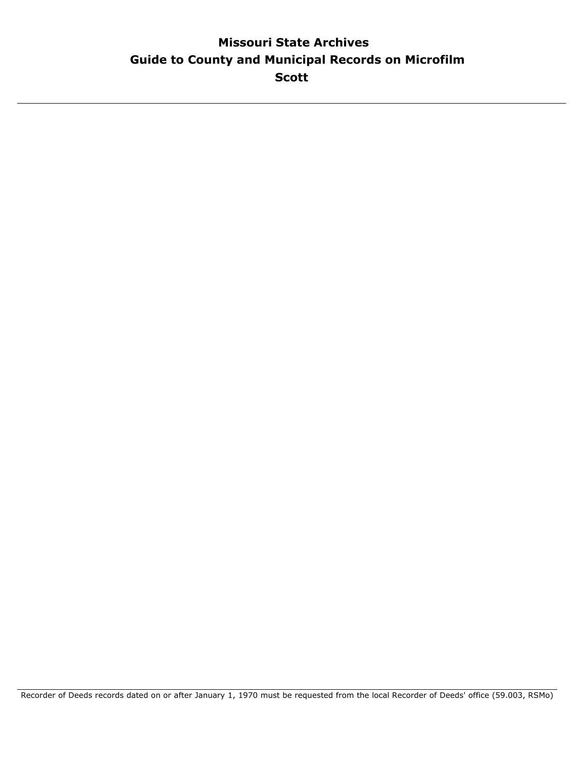### **Guide to County and Municipal Records on Microfilm Missouri State Archives Scott**

Recorder of Deeds records dated on or after January 1, 1970 must be requested from the local Recorder of Deeds' office (59.003, RSMo)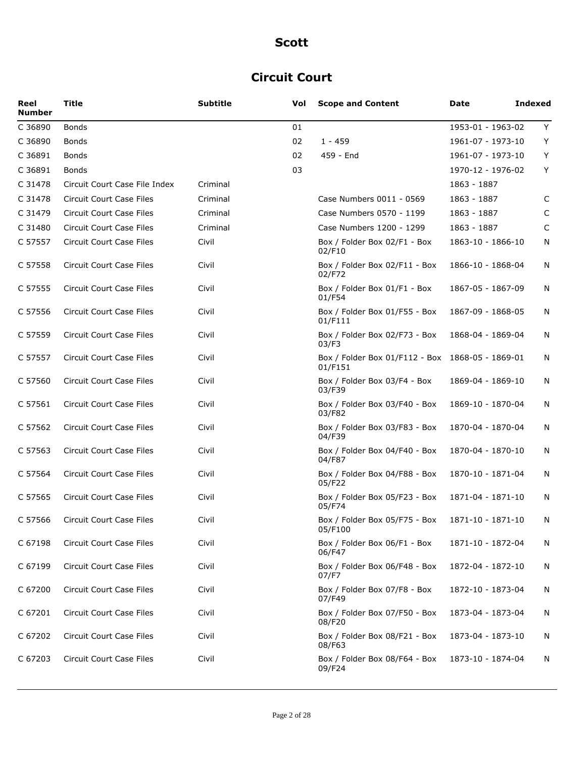### **Circuit Court**

| Reel<br><b>Number</b> | <b>Title</b>                    | <b>Subtitle</b> | Vol | <b>Scope and Content</b>                                    | Date              | <b>Indexed</b> |
|-----------------------|---------------------------------|-----------------|-----|-------------------------------------------------------------|-------------------|----------------|
| C 36890               | <b>Bonds</b>                    |                 | 01  |                                                             | 1953-01 - 1963-02 | Y              |
| C 36890               | <b>Bonds</b>                    |                 | 02  | 1 - 459                                                     | 1961-07 - 1973-10 | Y              |
| C 36891               | <b>Bonds</b>                    |                 | 02  | 459 - End                                                   | 1961-07 - 1973-10 | Y              |
| C 36891               | <b>Bonds</b>                    |                 | 03  |                                                             | 1970-12 - 1976-02 | Y              |
| C 31478               | Circuit Court Case File Index   | Criminal        |     |                                                             | 1863 - 1887       |                |
| C 31478               | Circuit Court Case Files        | Criminal        |     | Case Numbers 0011 - 0569                                    | 1863 - 1887       | C              |
| C 31479               | <b>Circuit Court Case Files</b> | Criminal        |     | Case Numbers 0570 - 1199                                    | 1863 - 1887       | C              |
| C 31480               | Circuit Court Case Files        | Criminal        |     | Case Numbers 1200 - 1299                                    | 1863 - 1887       | C              |
| C 57557               | Circuit Court Case Files        | Civil           |     | Box / Folder Box 02/F1 - Box<br>02/F10                      | 1863-10 - 1866-10 | N              |
| C 57558               | Circuit Court Case Files        | Civil           |     | Box / Folder Box 02/F11 - Box<br>02/F72                     | 1866-10 - 1868-04 | N              |
| C 57555               | Circuit Court Case Files        | Civil           |     | Box / Folder Box 01/F1 - Box<br>01/F54                      | 1867-05 - 1867-09 | N              |
| C 57556               | Circuit Court Case Files        | Civil           |     | Box / Folder Box 01/F55 - Box<br>01/F111                    | 1867-09 - 1868-05 | N              |
| C 57559               | Circuit Court Case Files        | Civil           |     | Box / Folder Box 02/F73 - Box<br>03/F3                      | 1868-04 - 1869-04 | N              |
| C 57557               | <b>Circuit Court Case Files</b> | Civil           |     | Box / Folder Box 01/F112 - Box 1868-05 - 1869-01<br>01/F151 |                   | N              |
| C 57560               | <b>Circuit Court Case Files</b> | Civil           |     | Box / Folder Box 03/F4 - Box<br>03/F39                      | 1869-04 - 1869-10 | N              |
| C 57561               | Circuit Court Case Files        | Civil           |     | Box / Folder Box 03/F40 - Box<br>03/F82                     | 1869-10 - 1870-04 | N              |
| C 57562               | <b>Circuit Court Case Files</b> | Civil           |     | Box / Folder Box 03/F83 - Box<br>04/F39                     | 1870-04 - 1870-04 | N              |
| C 57563               | <b>Circuit Court Case Files</b> | Civil           |     | Box / Folder Box 04/F40 - Box<br>04/F87                     | 1870-04 - 1870-10 | N              |
| C 57564               | <b>Circuit Court Case Files</b> | Civil           |     | Box / Folder Box 04/F88 - Box<br>05/F22                     | 1870-10 - 1871-04 | N              |
| C 57565               | Circuit Court Case Files        | Civil           |     | Box / Folder Box 05/F23 - Box<br>05/F74                     | 1871-04 - 1871-10 | N              |
| C 57566               | Circuit Court Case Files        | Civil           |     | Box / Folder Box 05/F75 - Box<br>05/F100                    | 1871-10 - 1871-10 | N              |
| C 67198               | Circuit Court Case Files        | Civil           |     | Box / Folder Box 06/F1 - Box<br>06/F47                      | 1871-10 - 1872-04 | N              |
| C 67199               | Circuit Court Case Files        | Civil           |     | Box / Folder Box 06/F48 - Box<br>07/F7                      | 1872-04 - 1872-10 | N              |
| C 67200               | Circuit Court Case Files        | Civil           |     | Box / Folder Box 07/F8 - Box<br>07/F49                      | 1872-10 - 1873-04 | N              |
| C 67201               | <b>Circuit Court Case Files</b> | Civil           |     | Box / Folder Box 07/F50 - Box<br>08/F20                     | 1873-04 - 1873-04 | N              |
| C 67202               | Circuit Court Case Files        | Civil           |     | Box / Folder Box 08/F21 - Box<br>08/F63                     | 1873-04 - 1873-10 | N              |
| C 67203               | Circuit Court Case Files        | Civil           |     | Box / Folder Box 08/F64 - Box<br>09/F24                     | 1873-10 - 1874-04 | N              |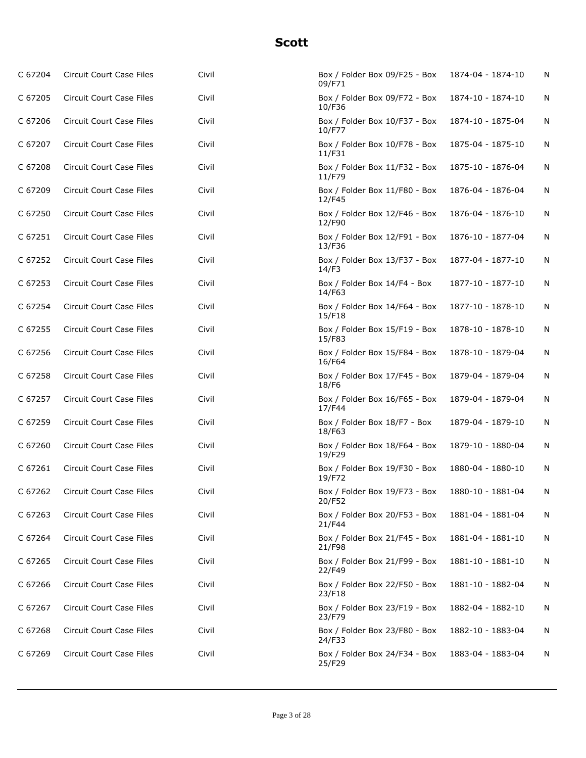| C 67204 | Circuit Court Case Files        | Civil | Box / Folder Box 09/F25 - Box<br>09/F71 | 1874-04 - 1874-10 | N |
|---------|---------------------------------|-------|-----------------------------------------|-------------------|---|
| C 67205 | Circuit Court Case Files        | Civil | Box / Folder Box 09/F72 - Box<br>10/F36 | 1874-10 - 1874-10 | N |
| C 67206 | Circuit Court Case Files        | Civil | Box / Folder Box 10/F37 - Box<br>10/F77 | 1874-10 - 1875-04 | N |
| C 67207 | Circuit Court Case Files        | Civil | Box / Folder Box 10/F78 - Box<br>11/F31 | 1875-04 - 1875-10 | N |
| C 67208 | Circuit Court Case Files        | Civil | Box / Folder Box 11/F32 - Box<br>11/F79 | 1875-10 - 1876-04 | N |
| C 67209 | Circuit Court Case Files        | Civil | Box / Folder Box 11/F80 - Box<br>12/F45 | 1876-04 - 1876-04 | N |
| C 67250 | Circuit Court Case Files        | Civil | Box / Folder Box 12/F46 - Box<br>12/F90 | 1876-04 - 1876-10 | N |
| C 67251 | Circuit Court Case Files        | Civil | Box / Folder Box 12/F91 - Box<br>13/F36 | 1876-10 - 1877-04 | N |
| C 67252 | <b>Circuit Court Case Files</b> | Civil | Box / Folder Box 13/F37 - Box<br>14/F3  | 1877-04 - 1877-10 | N |
| C 67253 | Circuit Court Case Files        | Civil | Box / Folder Box 14/F4 - Box<br>14/F63  | 1877-10 - 1877-10 | N |
| C 67254 | Circuit Court Case Files        | Civil | Box / Folder Box 14/F64 - Box<br>15/F18 | 1877-10 - 1878-10 | N |
| C 67255 | Circuit Court Case Files        | Civil | Box / Folder Box 15/F19 - Box<br>15/F83 | 1878-10 - 1878-10 | N |
| C 67256 | Circuit Court Case Files        | Civil | Box / Folder Box 15/F84 - Box<br>16/F64 | 1878-10 - 1879-04 | N |
| C 67258 | Circuit Court Case Files        | Civil | Box / Folder Box 17/F45 - Box<br>18/F6  | 1879-04 - 1879-04 | N |
| C 67257 | Circuit Court Case Files        | Civil | Box / Folder Box 16/F65 - Box<br>17/F44 | 1879-04 - 1879-04 | N |
| C 67259 | Circuit Court Case Files        | Civil | Box / Folder Box 18/F7 - Box<br>18/F63  | 1879-04 - 1879-10 | N |
| C 67260 | Circuit Court Case Files        | Civil | Box / Folder Box 18/F64 - Box<br>19/F29 | 1879-10 - 1880-04 | N |
| C 67261 | <b>Circuit Court Case Files</b> | Civil | Box / Folder Box 19/F30 - Box<br>19/F72 | 1880-04 - 1880-10 | N |
| C 67262 | Circuit Court Case Files        | Civil | Box / Folder Box 19/F73 - Box<br>20/F52 | 1880-10 - 1881-04 | N |
| C 67263 | Circuit Court Case Files        | Civil | Box / Folder Box 20/F53 - Box<br>21/F44 | 1881-04 - 1881-04 | N |
| C 67264 | Circuit Court Case Files        | Civil | Box / Folder Box 21/F45 - Box<br>21/F98 | 1881-04 - 1881-10 | N |
| C 67265 | Circuit Court Case Files        | Civil | Box / Folder Box 21/F99 - Box<br>22/F49 | 1881-10 - 1881-10 | N |
| C 67266 | Circuit Court Case Files        | Civil | Box / Folder Box 22/F50 - Box<br>23/F18 | 1881-10 - 1882-04 | N |
| C 67267 | Circuit Court Case Files        | Civil | Box / Folder Box 23/F19 - Box<br>23/F79 | 1882-04 - 1882-10 | N |
| C 67268 | Circuit Court Case Files        | Civil | Box / Folder Box 23/F80 - Box<br>24/F33 | 1882-10 - 1883-04 | N |
| C 67269 | Circuit Court Case Files        | Civil | Box / Folder Box 24/F34 - Box<br>25/F29 | 1883-04 - 1883-04 | N |
|         |                                 |       |                                         |                   |   |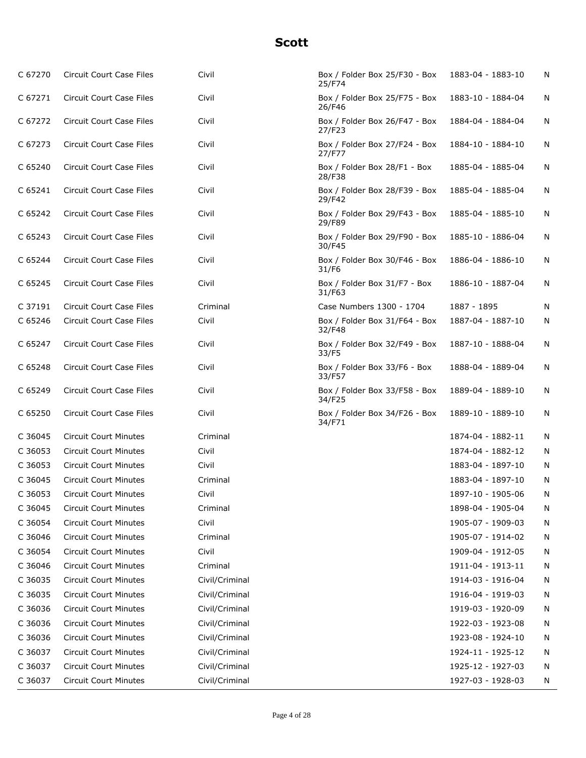| C 67270 | Circuit Court Case Files        | Civil          | Box / Folder Box 25/F30 - Box<br>25/F74 | 1883-04 - 1883-10 | N |
|---------|---------------------------------|----------------|-----------------------------------------|-------------------|---|
| C 67271 | <b>Circuit Court Case Files</b> | Civil          | Box / Folder Box 25/F75 - Box<br>26/F46 | 1883-10 - 1884-04 | N |
| C 67272 | Circuit Court Case Files        | Civil          | Box / Folder Box 26/F47 - Box<br>27/F23 | 1884-04 - 1884-04 | N |
| C 67273 | Circuit Court Case Files        | Civil          | Box / Folder Box 27/F24 - Box<br>27/F77 | 1884-10 - 1884-10 | N |
| C 65240 | Circuit Court Case Files        | Civil          | Box / Folder Box 28/F1 - Box<br>28/F38  | 1885-04 - 1885-04 | N |
| C 65241 | <b>Circuit Court Case Files</b> | Civil          | Box / Folder Box 28/F39 - Box<br>29/F42 | 1885-04 - 1885-04 | N |
| C 65242 | Circuit Court Case Files        | Civil          | Box / Folder Box 29/F43 - Box<br>29/F89 | 1885-04 - 1885-10 | N |
| C 65243 | Circuit Court Case Files        | Civil          | Box / Folder Box 29/F90 - Box<br>30/F45 | 1885-10 - 1886-04 | N |
| C 65244 | Circuit Court Case Files        | Civil          | Box / Folder Box 30/F46 - Box<br>31/F6  | 1886-04 - 1886-10 | N |
| C 65245 | Circuit Court Case Files        | Civil          | Box / Folder Box 31/F7 - Box<br>31/F63  | 1886-10 - 1887-04 | N |
| C 37191 | Circuit Court Case Files        | Criminal       | Case Numbers 1300 - 1704                | 1887 - 1895       | N |
| C 65246 | Circuit Court Case Files        | Civil          | Box / Folder Box 31/F64 - Box<br>32/F48 | 1887-04 - 1887-10 | N |
| C 65247 | <b>Circuit Court Case Files</b> | Civil          | Box / Folder Box 32/F49 - Box<br>33/F5  | 1887-10 - 1888-04 | N |
| C 65248 | Circuit Court Case Files        | Civil          | Box / Folder Box 33/F6 - Box<br>33/F57  | 1888-04 - 1889-04 | N |
| C 65249 | Circuit Court Case Files        | Civil          | Box / Folder Box 33/F58 - Box<br>34/F25 | 1889-04 - 1889-10 | N |
| C 65250 | Circuit Court Case Files        | Civil          | Box / Folder Box 34/F26 - Box<br>34/F71 | 1889-10 - 1889-10 | N |
| C 36045 | <b>Circuit Court Minutes</b>    | Criminal       |                                         | 1874-04 - 1882-11 | N |
| C 36053 | <b>Circuit Court Minutes</b>    | Civil          |                                         | 1874-04 - 1882-12 | N |
| C 36053 | <b>Circuit Court Minutes</b>    | Civil          |                                         | 1883-04 - 1897-10 | N |
| C 36045 | <b>Circuit Court Minutes</b>    | Criminal       |                                         | 1883-04 - 1897-10 | Ν |
| C 36053 | <b>Circuit Court Minutes</b>    | Civil          |                                         | 1897-10 - 1905-06 | N |
| C 36045 | <b>Circuit Court Minutes</b>    | Criminal       |                                         | 1898-04 - 1905-04 | N |
| C 36054 | <b>Circuit Court Minutes</b>    | Civil          |                                         | 1905-07 - 1909-03 | N |
| C 36046 | <b>Circuit Court Minutes</b>    | Criminal       |                                         | 1905-07 - 1914-02 | N |
| C 36054 | <b>Circuit Court Minutes</b>    | Civil          |                                         | 1909-04 - 1912-05 | N |
| C 36046 | <b>Circuit Court Minutes</b>    | Criminal       |                                         | 1911-04 - 1913-11 | N |
| C 36035 | <b>Circuit Court Minutes</b>    | Civil/Criminal |                                         | 1914-03 - 1916-04 | N |
| C 36035 | <b>Circuit Court Minutes</b>    | Civil/Criminal |                                         | 1916-04 - 1919-03 | N |
| C 36036 | <b>Circuit Court Minutes</b>    | Civil/Criminal |                                         | 1919-03 - 1920-09 | N |
| C 36036 | <b>Circuit Court Minutes</b>    | Civil/Criminal |                                         | 1922-03 - 1923-08 | N |
| C 36036 | <b>Circuit Court Minutes</b>    | Civil/Criminal |                                         | 1923-08 - 1924-10 | N |
| C 36037 | <b>Circuit Court Minutes</b>    | Civil/Criminal |                                         | 1924-11 - 1925-12 | N |
| C 36037 | <b>Circuit Court Minutes</b>    | Civil/Criminal |                                         | 1925-12 - 1927-03 | N |
| C 36037 | <b>Circuit Court Minutes</b>    | Civil/Criminal |                                         | 1927-03 - 1928-03 | N |
|         |                                 |                |                                         |                   |   |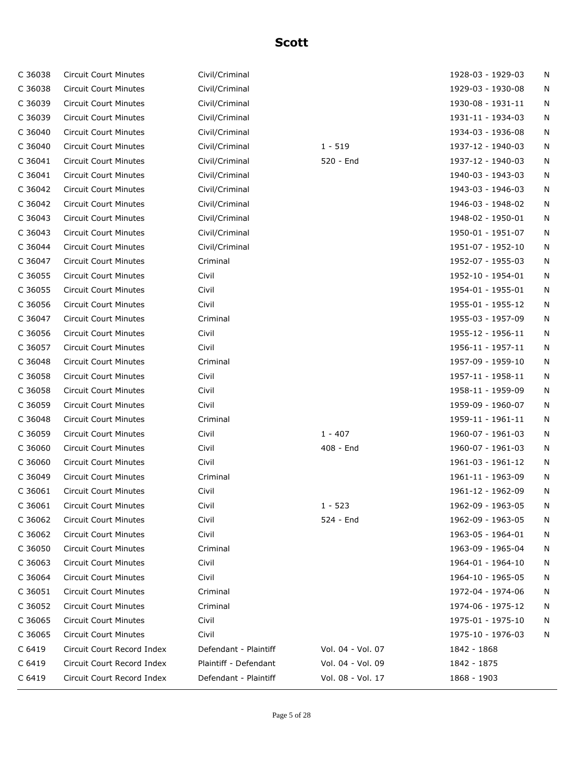| C 36038 | <b>Circuit Court Minutes</b> | Civil/Criminal        |                   | 1928-03 - 1929-03 | N |
|---------|------------------------------|-----------------------|-------------------|-------------------|---|
| C 36038 | <b>Circuit Court Minutes</b> | Civil/Criminal        |                   | 1929-03 - 1930-08 | N |
| C 36039 | <b>Circuit Court Minutes</b> | Civil/Criminal        |                   | 1930-08 - 1931-11 | N |
| C 36039 | <b>Circuit Court Minutes</b> | Civil/Criminal        |                   | 1931-11 - 1934-03 | N |
| C 36040 | <b>Circuit Court Minutes</b> | Civil/Criminal        |                   | 1934-03 - 1936-08 | N |
| C 36040 | <b>Circuit Court Minutes</b> | Civil/Criminal        | $1 - 519$         | 1937-12 - 1940-03 | N |
| C 36041 | <b>Circuit Court Minutes</b> | Civil/Criminal        | 520 - End         | 1937-12 - 1940-03 | N |
| C 36041 | <b>Circuit Court Minutes</b> | Civil/Criminal        |                   | 1940-03 - 1943-03 | N |
| C 36042 | <b>Circuit Court Minutes</b> | Civil/Criminal        |                   | 1943-03 - 1946-03 | N |
| C 36042 | <b>Circuit Court Minutes</b> | Civil/Criminal        |                   | 1946-03 - 1948-02 | N |
| C 36043 | <b>Circuit Court Minutes</b> | Civil/Criminal        |                   | 1948-02 - 1950-01 | N |
| C 36043 | <b>Circuit Court Minutes</b> | Civil/Criminal        |                   | 1950-01 - 1951-07 | N |
| C 36044 | <b>Circuit Court Minutes</b> | Civil/Criminal        |                   | 1951-07 - 1952-10 | N |
| C 36047 | <b>Circuit Court Minutes</b> | Criminal              |                   | 1952-07 - 1955-03 | N |
| C 36055 | <b>Circuit Court Minutes</b> | Civil                 |                   | 1952-10 - 1954-01 | N |
| C 36055 | <b>Circuit Court Minutes</b> | Civil                 |                   | 1954-01 - 1955-01 | N |
| C 36056 | <b>Circuit Court Minutes</b> | Civil                 |                   | 1955-01 - 1955-12 | N |
| C 36047 | <b>Circuit Court Minutes</b> | Criminal              |                   | 1955-03 - 1957-09 | N |
| C 36056 | <b>Circuit Court Minutes</b> | Civil                 |                   | 1955-12 - 1956-11 | N |
| C 36057 | <b>Circuit Court Minutes</b> | Civil                 |                   | 1956-11 - 1957-11 | N |
| C 36048 | <b>Circuit Court Minutes</b> | Criminal              |                   | 1957-09 - 1959-10 | N |
| C 36058 | <b>Circuit Court Minutes</b> | Civil                 |                   | 1957-11 - 1958-11 | N |
| C 36058 | <b>Circuit Court Minutes</b> | Civil                 |                   | 1958-11 - 1959-09 | N |
| C 36059 | <b>Circuit Court Minutes</b> | Civil                 |                   | 1959-09 - 1960-07 | N |
| C 36048 | <b>Circuit Court Minutes</b> | Criminal              |                   | 1959-11 - 1961-11 | N |
| C 36059 | <b>Circuit Court Minutes</b> | Civil                 | $1 - 407$         | 1960-07 - 1961-03 | N |
| C 36060 | <b>Circuit Court Minutes</b> | Civil                 | 408 - End         | 1960-07 - 1961-03 | N |
| C 36060 | <b>Circuit Court Minutes</b> | Civil                 |                   | 1961-03 - 1961-12 | N |
| C 36049 | <b>Circuit Court Minutes</b> | Criminal              |                   | 1961-11 - 1963-09 | N |
| C 36061 | <b>Circuit Court Minutes</b> | Civil                 |                   | 1961-12 - 1962-09 | N |
| C 36061 | <b>Circuit Court Minutes</b> | Civil                 | $1 - 523$         | 1962-09 - 1963-05 | N |
| C 36062 | <b>Circuit Court Minutes</b> | Civil                 | 524 - End         | 1962-09 - 1963-05 | N |
| C 36062 | <b>Circuit Court Minutes</b> | Civil                 |                   | 1963-05 - 1964-01 | N |
| C 36050 | <b>Circuit Court Minutes</b> | Criminal              |                   | 1963-09 - 1965-04 | N |
| C 36063 | <b>Circuit Court Minutes</b> | Civil                 |                   | 1964-01 - 1964-10 | N |
| C 36064 | <b>Circuit Court Minutes</b> | Civil                 |                   | 1964-10 - 1965-05 | N |
| C 36051 | <b>Circuit Court Minutes</b> | Criminal              |                   | 1972-04 - 1974-06 | N |
| C 36052 | <b>Circuit Court Minutes</b> | Criminal              |                   | 1974-06 - 1975-12 | N |
| C 36065 | Circuit Court Minutes        | Civil                 |                   | 1975-01 - 1975-10 | N |
| C 36065 | <b>Circuit Court Minutes</b> | Civil                 |                   | 1975-10 - 1976-03 | N |
| C 6419  | Circuit Court Record Index   | Defendant - Plaintiff | Vol. 04 - Vol. 07 | 1842 - 1868       |   |
| C 6419  | Circuit Court Record Index   | Plaintiff - Defendant | Vol. 04 - Vol. 09 | 1842 - 1875       |   |
| C 6419  | Circuit Court Record Index   | Defendant - Plaintiff | Vol. 08 - Vol. 17 | 1868 - 1903       |   |
|         |                              |                       |                   |                   |   |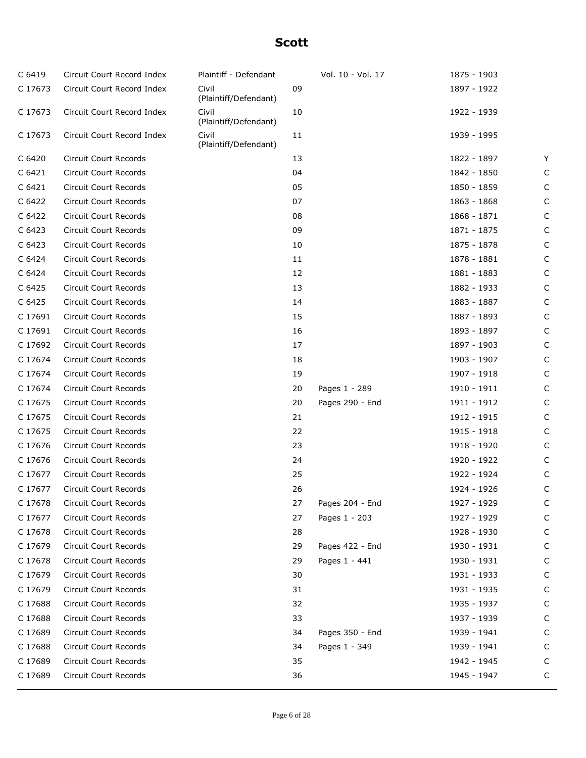| C 6419  | Circuit Court Record Index   | Plaintiff - Defendant          |    | Vol. 10 - Vol. 17 | 1875 - 1903 |              |
|---------|------------------------------|--------------------------------|----|-------------------|-------------|--------------|
| C 17673 | Circuit Court Record Index   | Civil<br>(Plaintiff/Defendant) | 09 |                   | 1897 - 1922 |              |
| C 17673 | Circuit Court Record Index   | Civil<br>(Plaintiff/Defendant) | 10 |                   | 1922 - 1939 |              |
| C 17673 | Circuit Court Record Index   | Civil<br>(Plaintiff/Defendant) | 11 |                   | 1939 - 1995 |              |
| C 6420  | Circuit Court Records        |                                | 13 |                   | 1822 - 1897 | Y            |
| C 6421  | Circuit Court Records        |                                | 04 |                   | 1842 - 1850 | C            |
| C 6421  | <b>Circuit Court Records</b> |                                | 05 |                   | 1850 - 1859 | C            |
| C 6422  | Circuit Court Records        |                                | 07 |                   | 1863 - 1868 | C            |
| C 6422  | Circuit Court Records        |                                | 08 |                   | 1868 - 1871 | C            |
| C 6423  | Circuit Court Records        |                                | 09 |                   | 1871 - 1875 | C            |
| C 6423  | Circuit Court Records        |                                | 10 |                   | 1875 - 1878 | C            |
| C 6424  | Circuit Court Records        |                                | 11 |                   | 1878 - 1881 | C            |
| C 6424  | Circuit Court Records        |                                | 12 |                   | 1881 - 1883 | C            |
| C 6425  | Circuit Court Records        |                                | 13 |                   | 1882 - 1933 | C            |
| C 6425  | Circuit Court Records        |                                | 14 |                   | 1883 - 1887 | C            |
| C 17691 | Circuit Court Records        |                                | 15 |                   | 1887 - 1893 | C            |
| C 17691 | Circuit Court Records        |                                | 16 |                   | 1893 - 1897 | C            |
| C 17692 | Circuit Court Records        |                                | 17 |                   | 1897 - 1903 | C            |
| C 17674 | Circuit Court Records        |                                | 18 |                   | 1903 - 1907 | C            |
| C 17674 | Circuit Court Records        |                                | 19 |                   | 1907 - 1918 | C            |
| C 17674 | Circuit Court Records        |                                | 20 | Pages 1 - 289     | 1910 - 1911 | C            |
| C 17675 | Circuit Court Records        |                                | 20 | Pages 290 - End   | 1911 - 1912 | C            |
| C 17675 | Circuit Court Records        |                                | 21 |                   | 1912 - 1915 | C            |
| C 17675 | Circuit Court Records        |                                | 22 |                   | 1915 - 1918 | C            |
| C 17676 | Circuit Court Records        |                                | 23 |                   | 1918 - 1920 | C            |
| C 17676 | Circuit Court Records        |                                | 24 |                   | 1920 - 1922 | C            |
| C 17677 | Circuit Court Records        |                                | 25 |                   | 1922 - 1924 | C            |
| C 17677 | Circuit Court Records        |                                | 26 |                   | 1924 - 1926 | $\mathsf{C}$ |
| C 17678 | Circuit Court Records        |                                | 27 | Pages 204 - End   | 1927 - 1929 | $\mathsf{C}$ |
| C 17677 | <b>Circuit Court Records</b> |                                | 27 | Pages 1 - 203     | 1927 - 1929 | C            |
| C 17678 | Circuit Court Records        |                                | 28 |                   | 1928 - 1930 | C            |
| C 17679 | Circuit Court Records        |                                | 29 | Pages 422 - End   | 1930 - 1931 | C            |
| C 17678 | Circuit Court Records        |                                | 29 | Pages 1 - 441     | 1930 - 1931 | $\mathsf{C}$ |
| C 17679 | Circuit Court Records        |                                | 30 |                   | 1931 - 1933 | C            |
| C 17679 | Circuit Court Records        |                                | 31 |                   | 1931 - 1935 | C            |
| C 17688 | Circuit Court Records        |                                | 32 |                   | 1935 - 1937 | $\mathsf{C}$ |
| C 17688 | Circuit Court Records        |                                | 33 |                   | 1937 - 1939 | $\mathsf{C}$ |
| C 17689 | Circuit Court Records        |                                | 34 | Pages 350 - End   | 1939 - 1941 | C            |
| C 17688 | Circuit Court Records        |                                | 34 | Pages 1 - 349     | 1939 - 1941 | C            |
| C 17689 | Circuit Court Records        |                                | 35 |                   | 1942 - 1945 | C            |
| C 17689 | Circuit Court Records        |                                | 36 |                   | 1945 - 1947 | C            |
|         |                              |                                |    |                   |             |              |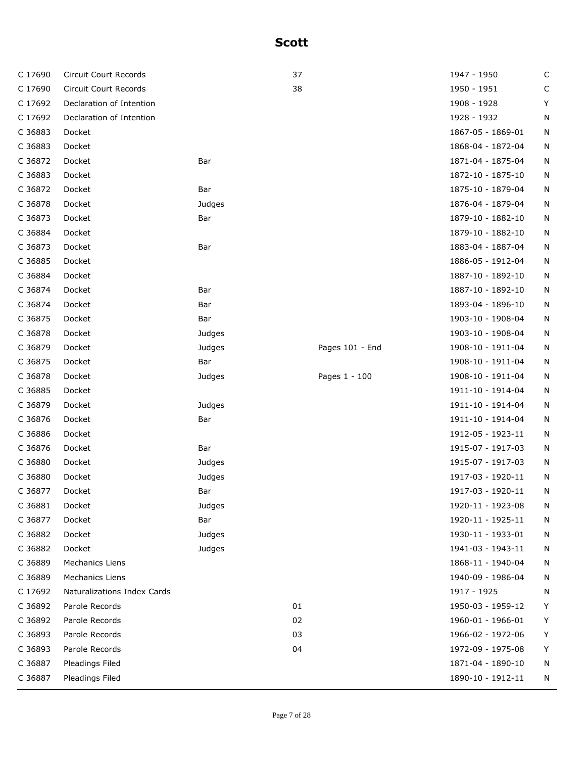| C 17690 | Circuit Court Records       |        | 37 |                 | 1947 - 1950       | $\mathsf C$ |
|---------|-----------------------------|--------|----|-----------------|-------------------|-------------|
| C 17690 | Circuit Court Records       |        | 38 |                 | 1950 - 1951       | С           |
| C 17692 | Declaration of Intention    |        |    |                 | 1908 - 1928       | Υ           |
| C 17692 | Declaration of Intention    |        |    |                 | 1928 - 1932       | Ν           |
| C 36883 | Docket                      |        |    |                 | 1867-05 - 1869-01 | N           |
| C 36883 | Docket                      |        |    |                 | 1868-04 - 1872-04 | N           |
| C 36872 | Docket                      | Bar    |    |                 | 1871-04 - 1875-04 | N           |
| C 36883 | Docket                      |        |    |                 | 1872-10 - 1875-10 | N           |
| C 36872 | Docket                      | Bar    |    |                 | 1875-10 - 1879-04 | N           |
| C 36878 | Docket                      | Judges |    |                 | 1876-04 - 1879-04 | N           |
| C 36873 | Docket                      | Bar    |    |                 | 1879-10 - 1882-10 | N           |
| C 36884 | Docket                      |        |    |                 | 1879-10 - 1882-10 | N           |
| C 36873 | Docket                      | Bar    |    |                 | 1883-04 - 1887-04 | N           |
| C 36885 | Docket                      |        |    |                 | 1886-05 - 1912-04 | N           |
| C 36884 | Docket                      |        |    |                 | 1887-10 - 1892-10 | N           |
| C 36874 | Docket                      | Bar    |    |                 | 1887-10 - 1892-10 | N           |
| C 36874 | Docket                      | Bar    |    |                 | 1893-04 - 1896-10 | N           |
| C 36875 | Docket                      | Bar    |    |                 | 1903-10 - 1908-04 | N           |
| C 36878 | Docket                      | Judges |    |                 | 1903-10 - 1908-04 | N           |
| C 36879 | Docket                      | Judges |    | Pages 101 - End | 1908-10 - 1911-04 | N           |
| C 36875 | Docket                      | Bar    |    |                 | 1908-10 - 1911-04 | N           |
| C 36878 | Docket                      | Judges |    | Pages 1 - 100   | 1908-10 - 1911-04 | N           |
| C 36885 | Docket                      |        |    |                 | 1911-10 - 1914-04 | N           |
| C 36879 | Docket                      | Judges |    |                 | 1911-10 - 1914-04 | N           |
| C 36876 | Docket                      | Bar    |    |                 | 1911-10 - 1914-04 | N           |
| C 36886 | Docket                      |        |    |                 | 1912-05 - 1923-11 | N           |
| C 36876 | Docket                      | Bar    |    |                 | 1915-07 - 1917-03 | N           |
| C 36880 | Docket                      | Judges |    |                 | 1915-07 - 1917-03 | N           |
| C 36880 | Docket                      | Judges |    |                 | 1917-03 - 1920-11 | N           |
| C 36877 | Docket                      | Bar    |    |                 | 1917-03 - 1920-11 | N           |
| C 36881 | Docket                      | Judges |    |                 | 1920-11 - 1923-08 | N           |
| C 36877 | Docket                      | Bar    |    |                 | 1920-11 - 1925-11 | N           |
| C 36882 | Docket                      | Judges |    |                 | 1930-11 - 1933-01 | N           |
| C 36882 | Docket                      | Judges |    |                 | 1941-03 - 1943-11 | N           |
| C 36889 | <b>Mechanics Liens</b>      |        |    |                 | 1868-11 - 1940-04 | N           |
| C 36889 | <b>Mechanics Liens</b>      |        |    |                 | 1940-09 - 1986-04 | N           |
| C 17692 | Naturalizations Index Cards |        |    |                 | 1917 - 1925       | N           |
| C 36892 | Parole Records              |        | 01 |                 | 1950-03 - 1959-12 | Υ           |
| C 36892 | Parole Records              |        | 02 |                 | 1960-01 - 1966-01 | Y           |
| C 36893 | Parole Records              |        | 03 |                 | 1966-02 - 1972-06 | Υ           |
| C 36893 | Parole Records              |        | 04 |                 | 1972-09 - 1975-08 | Y           |
| C 36887 | Pleadings Filed             |        |    |                 | 1871-04 - 1890-10 | N           |
| C 36887 | Pleadings Filed             |        |    |                 | 1890-10 - 1912-11 | N           |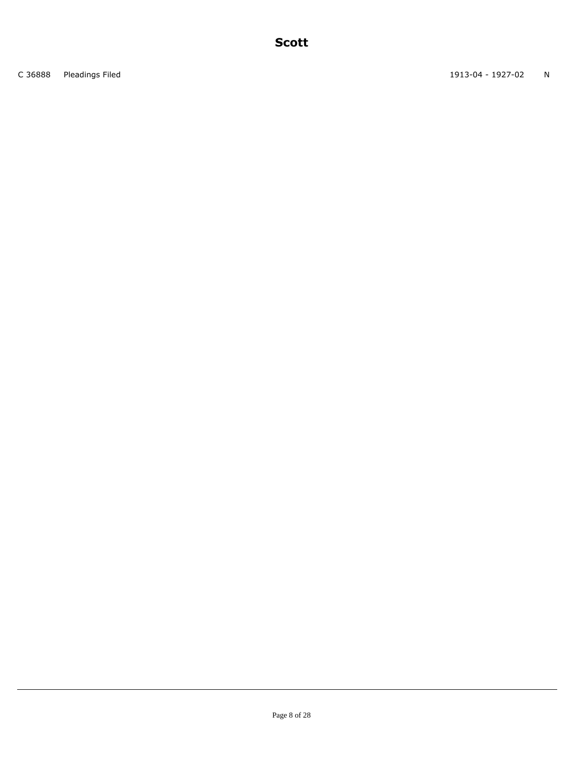C 36888 Pleadings Filed 2012 2020 N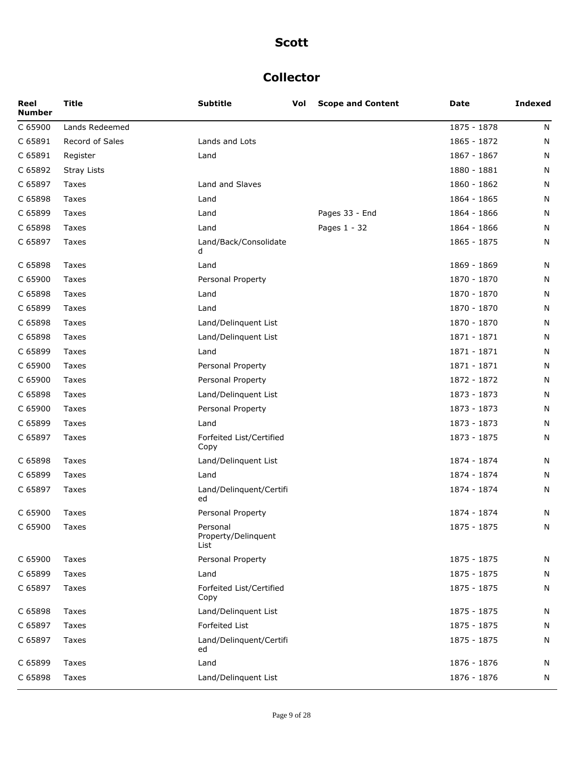### **Collector**

| Reel<br><b>Number</b> | <b>Title</b>       | <b>Subtitle</b>                         | Vol | <b>Scope and Content</b> | Date        | <b>Indexed</b> |
|-----------------------|--------------------|-----------------------------------------|-----|--------------------------|-------------|----------------|
| C 65900               | Lands Redeemed     |                                         |     |                          | 1875 - 1878 | N              |
| C 65891               | Record of Sales    | Lands and Lots                          |     |                          | 1865 - 1872 | N              |
| C 65891               | Register           | Land                                    |     |                          | 1867 - 1867 | N              |
| C 65892               | <b>Stray Lists</b> |                                         |     |                          | 1880 - 1881 | N              |
| C 65897               | Taxes              | Land and Slaves                         |     |                          | 1860 - 1862 | N              |
| C 65898               | Taxes              | Land                                    |     |                          | 1864 - 1865 | N              |
| C 65899               | Taxes              | Land                                    |     | Pages 33 - End           | 1864 - 1866 | N              |
| C 65898               | Taxes              | Land                                    |     | Pages 1 - 32             | 1864 - 1866 | N              |
| C 65897               | Taxes              | Land/Back/Consolidate<br>d              |     |                          | 1865 - 1875 | N              |
| C 65898               | Taxes              | Land                                    |     |                          | 1869 - 1869 | N              |
| C 65900               | Taxes              | Personal Property                       |     |                          | 1870 - 1870 | N              |
| C 65898               | Taxes              | Land                                    |     |                          | 1870 - 1870 | N              |
| C 65899               | Taxes              | Land                                    |     |                          | 1870 - 1870 | N              |
| C 65898               | Taxes              | Land/Delinquent List                    |     |                          | 1870 - 1870 | N              |
| C 65898               | Taxes              | Land/Delinquent List                    |     |                          | 1871 - 1871 | N              |
| C 65899               | Taxes              | Land                                    |     |                          | 1871 - 1871 | N              |
| C 65900               | Taxes              | Personal Property                       |     |                          | 1871 - 1871 | N              |
| C 65900               | Taxes              | Personal Property                       |     |                          | 1872 - 1872 | N              |
| C 65898               | Taxes              | Land/Delinquent List                    |     |                          | 1873 - 1873 | N              |
| C 65900               | Taxes              | Personal Property                       |     |                          | 1873 - 1873 | N              |
| C 65899               | Taxes              | Land                                    |     |                          | 1873 - 1873 | N              |
| C 65897               | Taxes              | Forfeited List/Certified<br>Copy        |     |                          | 1873 - 1875 | N              |
| C 65898               | Taxes              | Land/Delinquent List                    |     |                          | 1874 - 1874 | N              |
| C 65899               | Taxes              | Land                                    |     |                          | 1874 - 1874 | N              |
| C 65897               | Taxes              | Land/Delinquent/Certifi<br>ed           |     |                          | 1874 - 1874 | N              |
| C 65900               | Taxes              | Personal Property                       |     |                          | 1874 - 1874 | N              |
| C 65900               | Taxes              | Personal<br>Property/Delinquent<br>List |     |                          | 1875 - 1875 | N              |
| C 65900               | Taxes              | Personal Property                       |     |                          | 1875 - 1875 | N              |
| C 65899               | Taxes              | Land                                    |     |                          | 1875 - 1875 | N              |
| C 65897               | Taxes              | Forfeited List/Certified<br>Copy        |     |                          | 1875 - 1875 | Ν              |
| C 65898               | Taxes              | Land/Delinguent List                    |     |                          | 1875 - 1875 | Ν              |
| C 65897               | Taxes              | Forfeited List                          |     |                          | 1875 - 1875 | N              |
| C 65897               | Taxes              | Land/Delinquent/Certifi<br>ed           |     |                          | 1875 - 1875 | N              |
| C 65899               | Taxes              | Land                                    |     |                          | 1876 - 1876 | Ν              |
| C 65898               | Taxes              | Land/Delinquent List                    |     |                          | 1876 - 1876 | Ν              |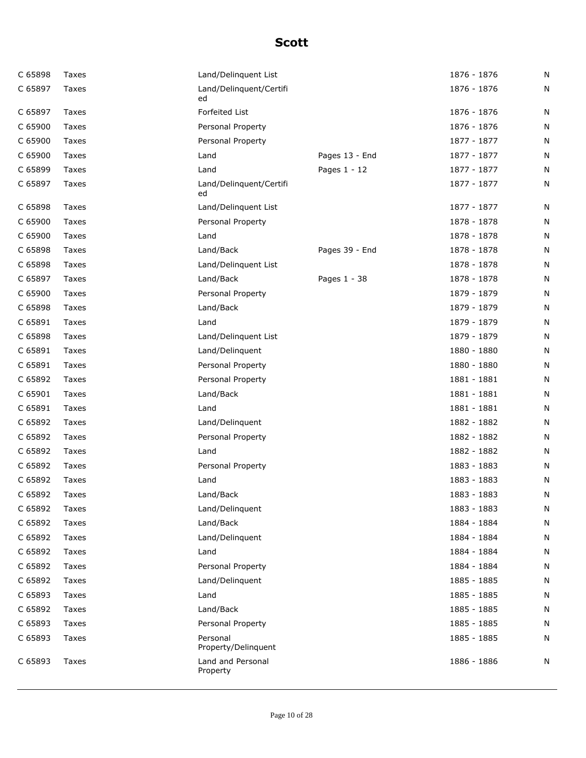| C 65898 | Taxes | Land/Delinquent List            |                | 1876 - 1876 | N |
|---------|-------|---------------------------------|----------------|-------------|---|
| C 65897 | Taxes | Land/Delinquent/Certifi<br>ed   |                | 1876 - 1876 | N |
| C 65897 | Taxes | Forfeited List                  |                | 1876 - 1876 | N |
| C 65900 | Taxes | Personal Property               |                | 1876 - 1876 | N |
| C 65900 | Taxes | Personal Property               |                | 1877 - 1877 | N |
| C 65900 | Taxes | Land                            | Pages 13 - End | 1877 - 1877 | N |
| C 65899 | Taxes | Land                            | Pages 1 - 12   | 1877 - 1877 | N |
| C 65897 | Taxes | Land/Delinquent/Certifi<br>ed   |                | 1877 - 1877 | N |
| C 65898 | Taxes | Land/Delinquent List            |                | 1877 - 1877 | N |
| C 65900 | Taxes | Personal Property               |                | 1878 - 1878 | N |
| C 65900 | Taxes | Land                            |                | 1878 - 1878 | N |
| C 65898 | Taxes | Land/Back                       | Pages 39 - End | 1878 - 1878 | N |
| C 65898 | Taxes | Land/Delinquent List            |                | 1878 - 1878 | N |
| C 65897 | Taxes | Land/Back                       | Pages 1 - 38   | 1878 - 1878 | N |
| C 65900 | Taxes | Personal Property               |                | 1879 - 1879 | N |
| C 65898 | Taxes | Land/Back                       |                | 1879 - 1879 | N |
| C 65891 | Taxes | Land                            |                | 1879 - 1879 | N |
| C 65898 | Taxes | Land/Delinquent List            |                | 1879 - 1879 | N |
| C 65891 | Taxes | Land/Delinquent                 |                | 1880 - 1880 | N |
| C 65891 | Taxes | Personal Property               |                | 1880 - 1880 | N |
| C 65892 | Taxes | Personal Property               |                | 1881 - 1881 | N |
| C 65901 | Taxes | Land/Back                       |                | 1881 - 1881 | N |
| C 65891 | Taxes | Land                            |                | 1881 - 1881 | N |
| C 65892 | Taxes | Land/Delinquent                 |                | 1882 - 1882 | N |
| C 65892 | Taxes | Personal Property               |                | 1882 - 1882 | N |
| C 65892 | Taxes | Land                            |                | 1882 - 1882 | N |
| C 65892 | Taxes | Personal Property               |                | 1883 - 1883 | N |
| C 65892 | Taxes | Land                            |                | 1883 - 1883 | N |
| C 65892 | Taxes | Land/Back                       |                | 1883 - 1883 | N |
| C 65892 | Taxes | Land/Delinguent                 |                | 1883 - 1883 | N |
| C 65892 | Taxes | Land/Back                       |                | 1884 - 1884 | N |
| C 65892 | Taxes | Land/Delinquent                 |                | 1884 - 1884 | N |
| C 65892 | Taxes | Land                            |                | 1884 - 1884 | N |
| C 65892 | Taxes | Personal Property               |                | 1884 - 1884 | N |
| C 65892 | Taxes | Land/Delinguent                 |                | 1885 - 1885 | N |
| C 65893 | Taxes | Land                            |                | 1885 - 1885 | N |
| C 65892 | Taxes | Land/Back                       |                | 1885 - 1885 | N |
| C 65893 | Taxes | Personal Property               |                | 1885 - 1885 | N |
| C 65893 | Taxes | Personal<br>Property/Delinquent |                | 1885 - 1885 | N |
| C 65893 | Taxes | Land and Personal<br>Property   |                | 1886 - 1886 | N |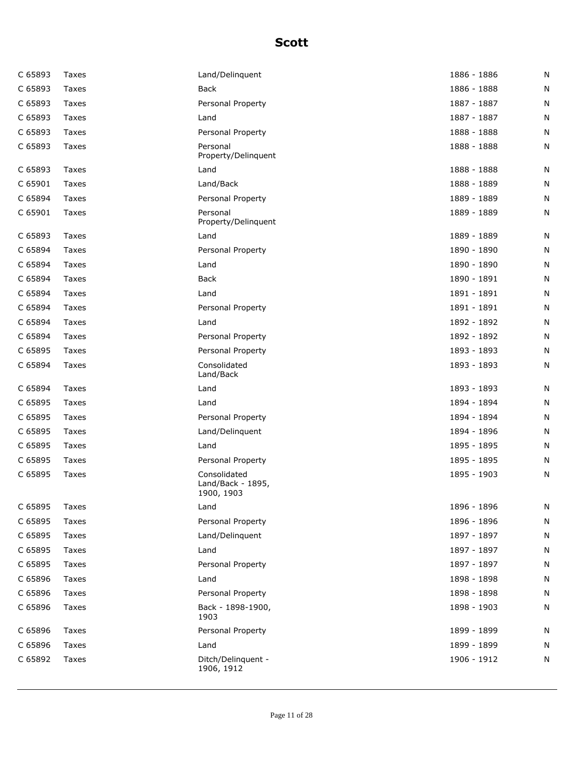| C 65893 | Taxes | Land/Delinquent                                 | 1886 - 1886 | N |
|---------|-------|-------------------------------------------------|-------------|---|
| C 65893 | Taxes | <b>Back</b>                                     | 1886 - 1888 | N |
| C 65893 | Taxes | Personal Property                               | 1887 - 1887 | N |
| C 65893 | Taxes | Land                                            | 1887 - 1887 | N |
| C 65893 | Taxes | Personal Property                               | 1888 - 1888 | N |
| C 65893 | Taxes | Personal<br>Property/Delinquent                 | 1888 - 1888 | N |
| C 65893 | Taxes | Land                                            | 1888 - 1888 | N |
| C 65901 | Taxes | Land/Back                                       | 1888 - 1889 | N |
| C 65894 | Taxes | Personal Property                               | 1889 - 1889 | N |
| C 65901 | Taxes | Personal<br>Property/Delinquent                 | 1889 - 1889 | N |
| C 65893 | Taxes | Land                                            | 1889 - 1889 | N |
| C 65894 | Taxes | Personal Property                               | 1890 - 1890 | N |
| C 65894 | Taxes | Land                                            | 1890 - 1890 | N |
| C 65894 | Taxes | Back                                            | 1890 - 1891 | N |
| C 65894 | Taxes | Land                                            | 1891 - 1891 | N |
| C 65894 | Taxes | Personal Property                               | 1891 - 1891 | N |
| C 65894 | Taxes | Land                                            | 1892 - 1892 | N |
| C 65894 | Taxes | Personal Property                               | 1892 - 1892 | N |
| C 65895 | Taxes | Personal Property                               | 1893 - 1893 | N |
| C 65894 | Taxes | Consolidated<br>Land/Back                       | 1893 - 1893 | N |
| C 65894 | Taxes | Land                                            | 1893 - 1893 | N |
| C 65895 | Taxes | Land                                            | 1894 - 1894 | N |
| C 65895 | Taxes | Personal Property                               | 1894 - 1894 | N |
| C 65895 | Taxes | Land/Delinquent                                 | 1894 - 1896 | N |
| C 65895 | Taxes | Land                                            | 1895 - 1895 | N |
| C 65895 | Taxes | Personal Property                               | 1895 - 1895 | N |
| C 65895 | Taxes | Consolidated<br>Land/Back - 1895,<br>1900, 1903 | 1895 - 1903 | N |
| C 65895 | Taxes | Land                                            | 1896 - 1896 | N |
| C 65895 | Taxes | Personal Property                               | 1896 - 1896 | N |
| C 65895 | Taxes | Land/Delinquent                                 | 1897 - 1897 | N |
| C 65895 | Taxes | Land                                            | 1897 - 1897 | N |
| C 65895 | Taxes | Personal Property                               | 1897 - 1897 | N |
| C 65896 | Taxes | Land                                            | 1898 - 1898 | N |
| C 65896 | Taxes | Personal Property                               | 1898 - 1898 | N |
| C 65896 | Taxes | Back - 1898-1900,<br>1903                       | 1898 - 1903 | N |
| C 65896 | Taxes | Personal Property                               | 1899 - 1899 | N |
| C 65896 | Taxes | Land                                            | 1899 - 1899 | N |
| C 65892 | Taxes | Ditch/Delinquent -<br>1906, 1912                | 1906 - 1912 | N |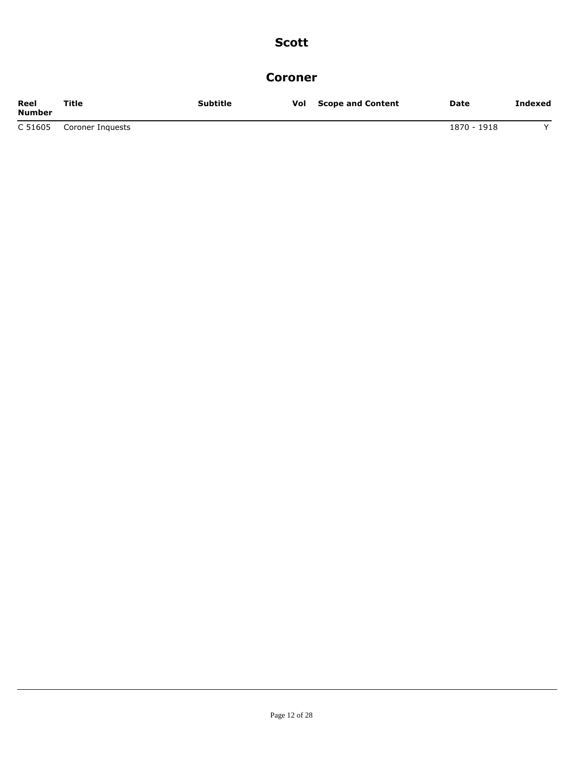#### **Coroner**

| Reel<br><b>Number</b> | Title            | Subtitle | Vol | <b>Scope and Content</b> | Date        | Indexed |
|-----------------------|------------------|----------|-----|--------------------------|-------------|---------|
| C 51605               | Coroner Inguests |          |     |                          | 1870 - 1918 |         |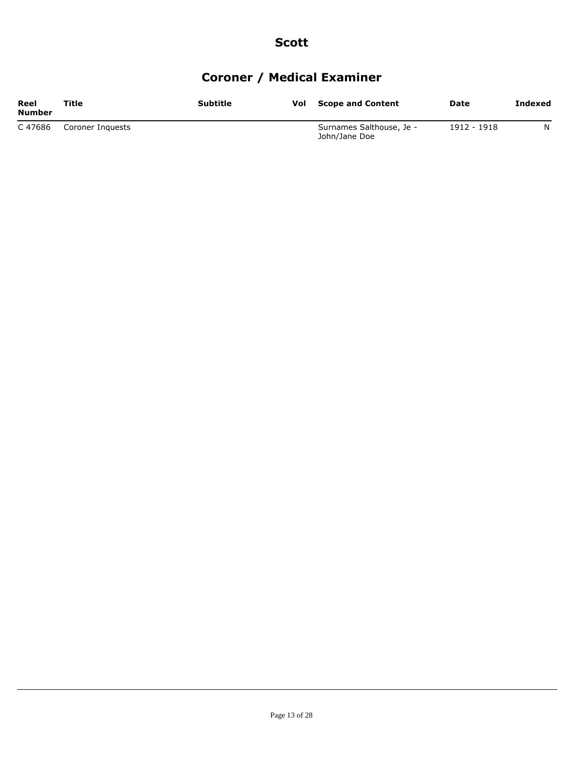# **Coroner / Medical Examiner**

| Reel<br>Number | Title            | Subtitle | Vol | <b>Scope and Content</b>                  | Date        | Indexed |
|----------------|------------------|----------|-----|-------------------------------------------|-------------|---------|
| C 47686        | Coroner Inguests |          |     | Surnames Salthouse, Je -<br>John/Jane Doe | 1912 - 1918 | N       |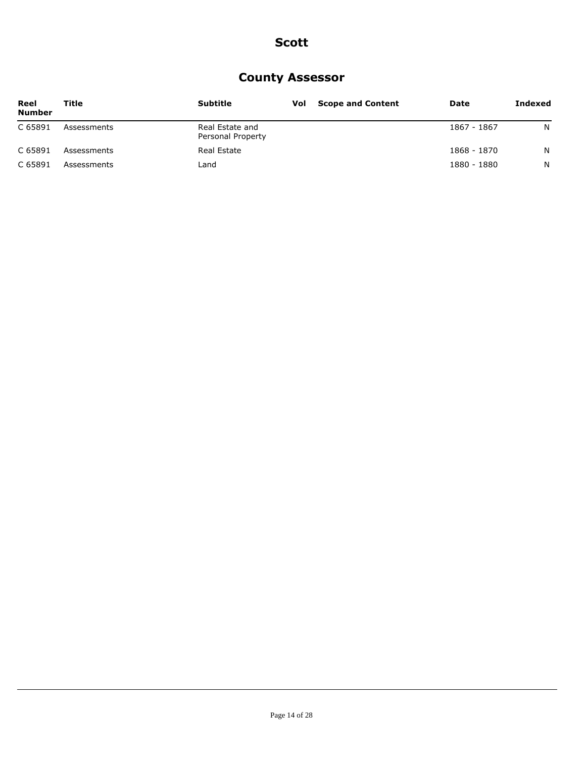### **County Assessor**

| Reel<br><b>Number</b> | Title       | <b>Subtitle</b>                      | <b>Vol</b> Scope and Content | Date        | Indexed |
|-----------------------|-------------|--------------------------------------|------------------------------|-------------|---------|
| C 65891               | Assessments | Real Estate and<br>Personal Property |                              | 1867 - 1867 | N       |
| C 65891               | Assessments | Real Estate                          |                              | 1868 - 1870 | N       |
| C 65891               | Assessments | Land                                 |                              | 1880 - 1880 | N.      |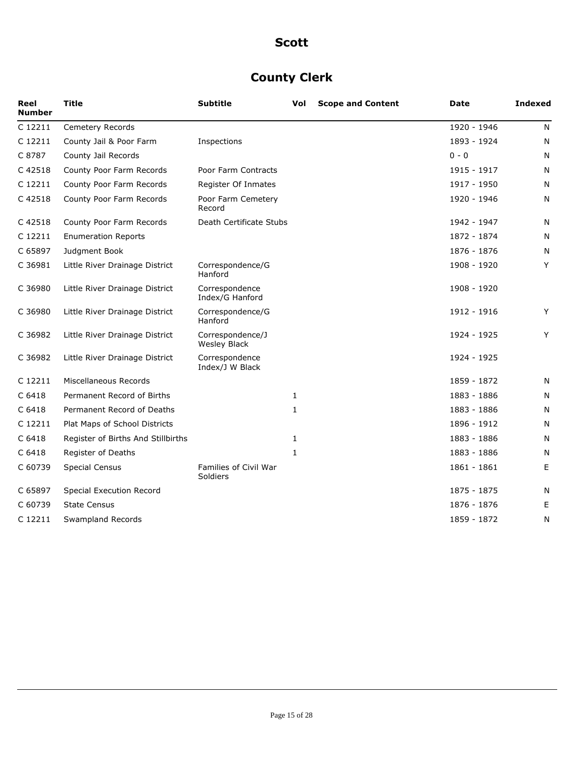## **County Clerk**

| Reel<br><b>Number</b> | Title                              | <b>Subtitle</b>                         | Vol          | <b>Scope and Content</b> | Date        | <b>Indexed</b> |
|-----------------------|------------------------------------|-----------------------------------------|--------------|--------------------------|-------------|----------------|
| C 12211               | Cemetery Records                   |                                         |              |                          | 1920 - 1946 | N              |
| C 12211               | County Jail & Poor Farm            | Inspections                             |              |                          | 1893 - 1924 | N              |
| C 8787                | County Jail Records                |                                         |              |                          | $0 - 0$     | N              |
| C 42518               | County Poor Farm Records           | Poor Farm Contracts                     |              |                          | 1915 - 1917 | N              |
| C 12211               | County Poor Farm Records           | Register Of Inmates                     |              |                          | 1917 - 1950 | N              |
| C 42518               | County Poor Farm Records           | Poor Farm Cemetery<br>Record            |              |                          | 1920 - 1946 | N              |
| C 42518               | County Poor Farm Records           | Death Certificate Stubs                 |              |                          | 1942 - 1947 | N              |
| C 12211               | <b>Enumeration Reports</b>         |                                         |              |                          | 1872 - 1874 | N              |
| C 65897               | Judgment Book                      |                                         |              |                          | 1876 - 1876 | N              |
| C 36981               | Little River Drainage District     | Correspondence/G<br>Hanford             |              |                          | 1908 - 1920 | Y              |
| C 36980               | Little River Drainage District     | Correspondence<br>Index/G Hanford       |              |                          | 1908 - 1920 |                |
| C 36980               | Little River Drainage District     | Correspondence/G<br>Hanford             |              |                          | 1912 - 1916 | Y              |
| C 36982               | Little River Drainage District     | Correspondence/J<br><b>Wesley Black</b> |              |                          | 1924 - 1925 | Y              |
| C 36982               | Little River Drainage District     | Correspondence<br>Index/J W Black       |              |                          | 1924 - 1925 |                |
| C 12211               | Miscellaneous Records              |                                         |              |                          | 1859 - 1872 | N              |
| C 6418                | Permanent Record of Births         |                                         | $\mathbf{1}$ |                          | 1883 - 1886 | N              |
| C 6418                | Permanent Record of Deaths         |                                         | 1            |                          | 1883 - 1886 | N              |
| C 12211               | Plat Maps of School Districts      |                                         |              |                          | 1896 - 1912 | N              |
| C 6418                | Register of Births And Stillbirths |                                         | $\mathbf{1}$ |                          | 1883 - 1886 | N              |
| C 6418                | Register of Deaths                 |                                         | $\mathbf{1}$ |                          | 1883 - 1886 | N              |
| C 60739               | <b>Special Census</b>              | Families of Civil War<br>Soldiers       |              |                          | 1861 - 1861 | E              |
| C 65897               | Special Execution Record           |                                         |              |                          | 1875 - 1875 | N              |
| C 60739               | <b>State Census</b>                |                                         |              |                          | 1876 - 1876 | Е              |
| C 12211               | Swampland Records                  |                                         |              |                          | 1859 - 1872 | N              |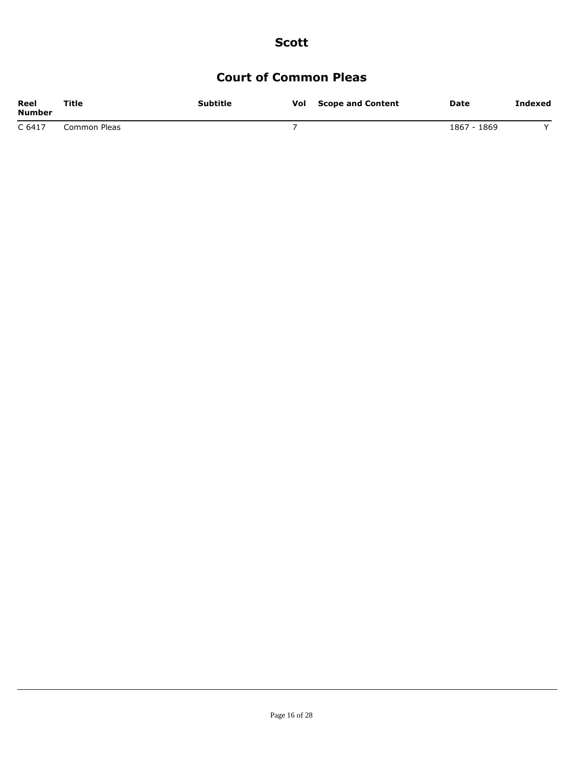### **Court of Common Pleas**

| Reel<br>Number | Title        | <b>Subtitle</b> | Vol | <b>Scope and Content</b> | Date        | Indexed |
|----------------|--------------|-----------------|-----|--------------------------|-------------|---------|
| C 6417         | Common Pleas |                 |     |                          | 1867 - 1869 |         |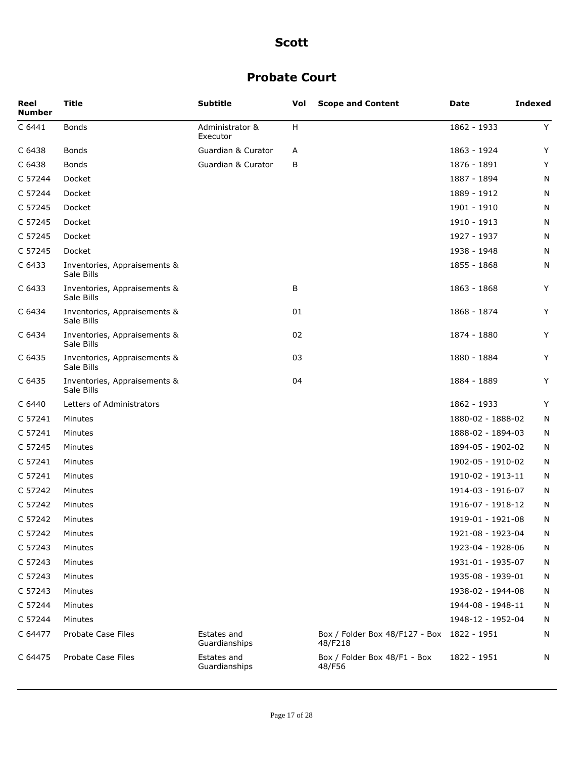### **Probate Court**

| Reel<br><b>Number</b> | Title                                      | <b>Subtitle</b>              | Vol | <b>Scope and Content</b>                  | Date              | <b>Indexed</b> |
|-----------------------|--------------------------------------------|------------------------------|-----|-------------------------------------------|-------------------|----------------|
| C 6441                | <b>Bonds</b>                               | Administrator &<br>Executor  | Н   |                                           | 1862 - 1933       | Y              |
| C 6438                | <b>Bonds</b>                               | Guardian & Curator           | A   |                                           | 1863 - 1924       | Y              |
| C 6438                | Bonds                                      | Guardian & Curator           | В   |                                           | 1876 - 1891       | Y              |
| C 57244               | Docket                                     |                              |     |                                           | 1887 - 1894       | N              |
| C 57244               | Docket                                     |                              |     |                                           | 1889 - 1912       | N              |
| C 57245               | Docket                                     |                              |     |                                           | 1901 - 1910       | N              |
| C 57245               | Docket                                     |                              |     |                                           | 1910 - 1913       | N              |
| C 57245               | Docket                                     |                              |     |                                           | 1927 - 1937       | N              |
| C 57245               | Docket                                     |                              |     |                                           | 1938 - 1948       | N              |
| C 6433                | Inventories, Appraisements &<br>Sale Bills |                              |     |                                           | 1855 - 1868       | N              |
| C 6433                | Inventories, Appraisements &<br>Sale Bills |                              | В   |                                           | 1863 - 1868       | Y              |
| C 6434                | Inventories, Appraisements &<br>Sale Bills |                              | 01  |                                           | 1868 - 1874       | Υ              |
| C 6434                | Inventories, Appraisements &<br>Sale Bills |                              | 02  |                                           | 1874 - 1880       | Υ              |
| C 6435                | Inventories, Appraisements &<br>Sale Bills |                              | 03  |                                           | 1880 - 1884       | Y              |
| C 6435                | Inventories, Appraisements &<br>Sale Bills |                              | 04  |                                           | 1884 - 1889       | Y              |
| C 6440                | Letters of Administrators                  |                              |     |                                           | 1862 - 1933       | Υ              |
| C 57241               | Minutes                                    |                              |     |                                           | 1880-02 - 1888-02 | N              |
| C 57241               | Minutes                                    |                              |     |                                           | 1888-02 - 1894-03 | N              |
| C 57245               | Minutes                                    |                              |     |                                           | 1894-05 - 1902-02 | N              |
| C 57241               | Minutes                                    |                              |     |                                           | 1902-05 - 1910-02 | N              |
| C 57241               | Minutes                                    |                              |     |                                           | 1910-02 - 1913-11 | N              |
| C 57242               | Minutes                                    |                              |     |                                           | 1914-03 - 1916-07 | N              |
| C 57242               | Minutes                                    |                              |     |                                           | 1916-07 - 1918-12 | N              |
| C 57242               | Minutes                                    |                              |     |                                           | 1919-01 - 1921-08 | N              |
| C 57242               | Minutes                                    |                              |     |                                           | 1921-08 - 1923-04 | N              |
| C 57243               | Minutes                                    |                              |     |                                           | 1923-04 - 1928-06 | N              |
| C 57243               | Minutes                                    |                              |     |                                           | 1931-01 - 1935-07 | N              |
| C 57243               | Minutes                                    |                              |     |                                           | 1935-08 - 1939-01 | N              |
| C 57243               | Minutes                                    |                              |     |                                           | 1938-02 - 1944-08 | N              |
| C 57244               | Minutes                                    |                              |     |                                           | 1944-08 - 1948-11 | N              |
| C 57244               | Minutes                                    |                              |     |                                           | 1948-12 - 1952-04 | N              |
| C 64477               | Probate Case Files                         | Estates and<br>Guardianships |     | Box / Folder Box 48/F127 - Box<br>48/F218 | 1822 - 1951       | N              |
| C 64475               | Probate Case Files                         | Estates and<br>Guardianships |     | Box / Folder Box 48/F1 - Box<br>48/F56    | 1822 - 1951       | N              |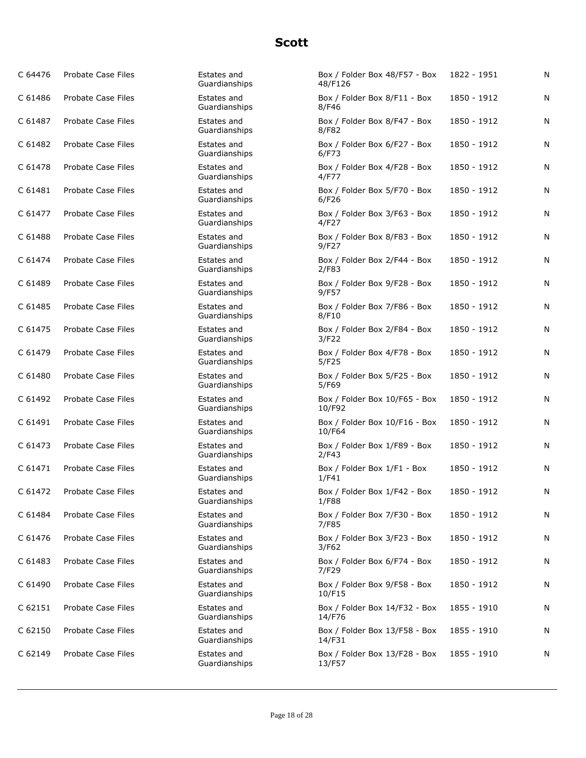| C 64476 | Probate Case Files | Estates and<br>Guardianships | Box / Folder Box 48/F57 - Box<br>48/F126 | 1822 - 1951 | N |
|---------|--------------------|------------------------------|------------------------------------------|-------------|---|
| C 61486 | Probate Case Files | Estates and<br>Guardianships | Box / Folder Box 8/F11 - Box<br>8/F46    | 1850 - 1912 | N |
| C 61487 | Probate Case Files | Estates and<br>Guardianships | Box / Folder Box 8/F47 - Box<br>8/F82    | 1850 - 1912 | N |
| C 61482 | Probate Case Files | Estates and<br>Guardianships | Box / Folder Box 6/F27 - Box<br>6/F73    | 1850 - 1912 | N |
| C 61478 | Probate Case Files | Estates and<br>Guardianships | Box / Folder Box 4/F28 - Box<br>4/F77    | 1850 - 1912 | N |
| C 61481 | Probate Case Files | Estates and<br>Guardianships | Box / Folder Box 5/F70 - Box<br>6/F26    | 1850 - 1912 | N |
| C 61477 | Probate Case Files | Estates and<br>Guardianships | Box / Folder Box 3/F63 - Box<br>4/F27    | 1850 - 1912 | N |
| C 61488 | Probate Case Files | Estates and<br>Guardianships | Box / Folder Box 8/F83 - Box<br>9/F27    | 1850 - 1912 | N |
| C 61474 | Probate Case Files | Estates and<br>Guardianships | Box / Folder Box 2/F44 - Box<br>2/F83    | 1850 - 1912 | N |
| C 61489 | Probate Case Files | Estates and<br>Guardianships | Box / Folder Box 9/F28 - Box<br>9/F57    | 1850 - 1912 | N |
| C 61485 | Probate Case Files | Estates and<br>Guardianships | Box / Folder Box 7/F86 - Box<br>8/F10    | 1850 - 1912 | N |
| C 61475 | Probate Case Files | Estates and<br>Guardianships | Box / Folder Box 2/F84 - Box<br>3/F22    | 1850 - 1912 | N |
| C 61479 | Probate Case Files | Estates and<br>Guardianships | Box / Folder Box 4/F78 - Box<br>5/F25    | 1850 - 1912 | N |
| C 61480 | Probate Case Files | Estates and<br>Guardianships | Box / Folder Box 5/F25 - Box<br>5/F69    | 1850 - 1912 | N |
| C 61492 | Probate Case Files | Estates and<br>Guardianships | Box / Folder Box 10/F65 - Box<br>10/F92  | 1850 - 1912 | N |
| C 61491 | Probate Case Files | Estates and<br>Guardianships | Box / Folder Box 10/F16 - Box<br>10/F64  | 1850 - 1912 | N |
| C 61473 | Probate Case Files | Estates and<br>Guardianships | Box / Folder Box 1/F89 - Box<br>2/F43    | 1850 - 1912 | N |
| C 61471 | Probate Case Files | Estates and<br>Guardianships | Box / Folder Box 1/F1 - Box<br>1/F41     | 1850 - 1912 | N |
| C 61472 | Probate Case Files | Estates and<br>Guardianships | Box / Folder Box 1/F42 - Box<br>1/F88    | 1850 - 1912 | N |
| C 61484 | Probate Case Files | Estates and<br>Guardianships | Box / Folder Box 7/F30 - Box<br>7/F85    | 1850 - 1912 | N |
| C 61476 | Probate Case Files | Estates and<br>Guardianships | Box / Folder Box 3/F23 - Box<br>3/F62    | 1850 - 1912 | N |
| C 61483 | Probate Case Files | Estates and<br>Guardianships | Box / Folder Box 6/F74 - Box<br>7/F29    | 1850 - 1912 | N |
| C 61490 | Probate Case Files | Estates and<br>Guardianships | Box / Folder Box 9/F58 - Box<br>10/F15   | 1850 - 1912 | N |
| C 62151 | Probate Case Files | Estates and<br>Guardianships | Box / Folder Box 14/F32 - Box<br>14/F76  | 1855 - 1910 | N |
| C 62150 | Probate Case Files | Estates and<br>Guardianships | Box / Folder Box 13/F58 - Box<br>14/F31  | 1855 - 1910 | N |
| C 62149 | Probate Case Files | Estates and<br>Guardianships | Box / Folder Box 13/F28 - Box<br>13/F57  | 1855 - 1910 | N |
|         |                    |                              |                                          |             |   |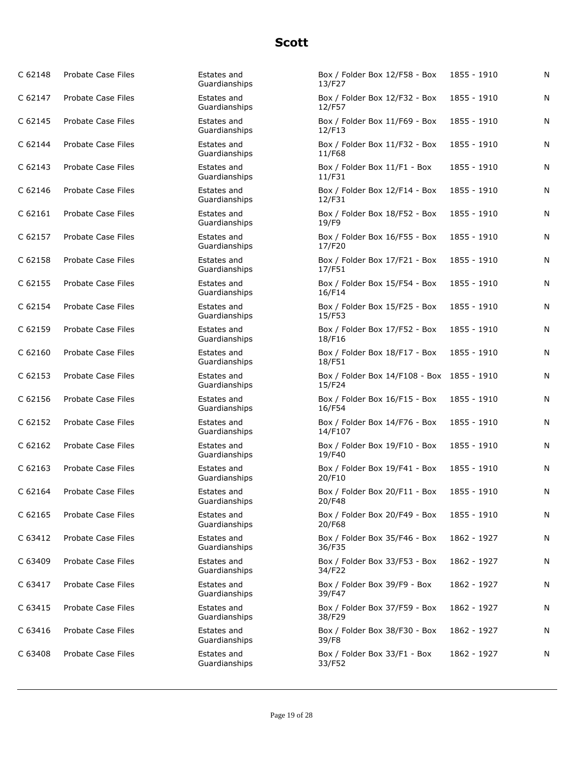| C 62148            | Probate Case Files        | Estates and<br>Guardianships | Box / Folder Box 12/F58 - Box<br>13/F27              | 1855 - 1910 | N         |
|--------------------|---------------------------|------------------------------|------------------------------------------------------|-------------|-----------|
| C 62147            | <b>Probate Case Files</b> | Estates and<br>Guardianships | Box / Folder Box 12/F32 - Box<br>12/F57              | 1855 - 1910 | N         |
| C 62145            | <b>Probate Case Files</b> | Estates and<br>Guardianships | Box / Folder Box 11/F69 - Box<br>12/F13              | 1855 - 1910 | ${\sf N}$ |
| C 62144            | <b>Probate Case Files</b> | Estates and<br>Guardianships | Box / Folder Box 11/F32 - Box<br>11/F68              | 1855 - 1910 | N         |
| C <sub>62143</sub> | <b>Probate Case Files</b> | Estates and<br>Guardianships | Box / Folder Box 11/F1 - Box<br>11/F31               | 1855 - 1910 | N         |
| C 62146            | Probate Case Files        | Estates and<br>Guardianships | Box / Folder Box 12/F14 - Box<br>12/F31              | 1855 - 1910 | N         |
| C 62161            | <b>Probate Case Files</b> | Estates and<br>Guardianships | Box / Folder Box 18/F52 - Box<br>19/F9               | 1855 - 1910 | N         |
| C 62157            | Probate Case Files        | Estates and<br>Guardianships | Box / Folder Box 16/F55 - Box<br>17/F20              | 1855 - 1910 | N         |
| C 62158            | <b>Probate Case Files</b> | Estates and<br>Guardianships | Box / Folder Box 17/F21 - Box<br>17/F51              | 1855 - 1910 | N         |
| C 62155            | <b>Probate Case Files</b> | Estates and<br>Guardianships | Box / Folder Box 15/F54 - Box<br>16/F14              | 1855 - 1910 | N         |
| C 62154            | <b>Probate Case Files</b> | Estates and<br>Guardianships | Box / Folder Box 15/F25 - Box<br>15/F53              | 1855 - 1910 | N         |
| C 62159            | <b>Probate Case Files</b> | Estates and<br>Guardianships | Box / Folder Box 17/F52 - Box<br>18/F16              | 1855 - 1910 | N         |
| C 62160            | Probate Case Files        | Estates and<br>Guardianships | Box / Folder Box 18/F17 - Box<br>18/F51              | 1855 - 1910 | N         |
| C 62153            | Probate Case Files        | Estates and<br>Guardianships | Box / Folder Box 14/F108 - Box 1855 - 1910<br>15/F24 |             | N         |
| C 62156            | Probate Case Files        | Estates and<br>Guardianships | Box / Folder Box 16/F15 - Box<br>16/F54              | 1855 - 1910 | N         |
| C 62152            | <b>Probate Case Files</b> | Estates and<br>Guardianships | Box / Folder Box 14/F76 - Box<br>14/F107             | 1855 - 1910 | N         |
| C 62162            | Probate Case Files        | Estates and<br>Guardianships | Box / Folder Box 19/F10 - Box<br>19/F40              | 1855 - 1910 | N         |
| C <sub>62163</sub> | <b>Probate Case Files</b> | Estates and<br>Guardianships | Box / Folder Box 19/F41 - Box<br>20/F10              | 1855 - 1910 | N         |
| C 62164            | <b>Probate Case Files</b> | Estates and<br>Guardianships | Box / Folder Box 20/F11 - Box<br>20/F48              | 1855 - 1910 | N         |
| C 62165            | Probate Case Files        | Estates and<br>Guardianships | Box / Folder Box 20/F49 - Box<br>20/F68              | 1855 - 1910 | N         |
| C 63412            | <b>Probate Case Files</b> | Estates and<br>Guardianships | Box / Folder Box 35/F46 - Box<br>36/F35              | 1862 - 1927 | Ν         |
| C 63409            | Probate Case Files        | Estates and<br>Guardianships | Box / Folder Box 33/F53 - Box<br>34/F22              | 1862 - 1927 | N         |
| C 63417            | Probate Case Files        | Estates and<br>Guardianships | Box / Folder Box 39/F9 - Box<br>39/F47               | 1862 - 1927 | N         |
| C 63415            | <b>Probate Case Files</b> | Estates and<br>Guardianships | Box / Folder Box 37/F59 - Box<br>38/F29              | 1862 - 1927 | N         |
| C 63416            | Probate Case Files        | Estates and<br>Guardianships | Box / Folder Box 38/F30 - Box<br>39/F8               | 1862 - 1927 | N         |
| C 63408            | Probate Case Files        | Estates and<br>Guardianships | Box / Folder Box 33/F1 - Box<br>33/F52               | 1862 - 1927 | N         |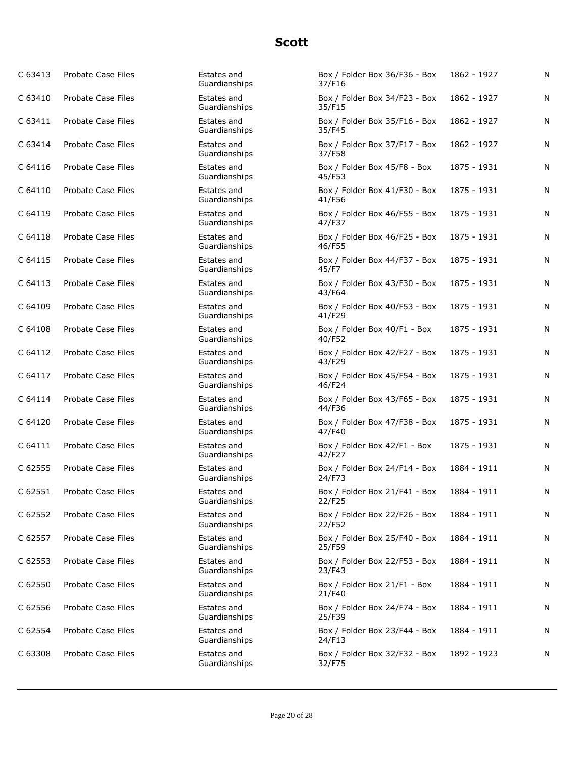| C 63413 | Probate Case Files        | Estates and<br>Guardianships | Box / Folder Box 36/F36 - Box<br>37/F16 | 1862 - 1927 | N |
|---------|---------------------------|------------------------------|-----------------------------------------|-------------|---|
| C 63410 | <b>Probate Case Files</b> | Estates and<br>Guardianships | Box / Folder Box 34/F23 - Box<br>35/F15 | 1862 - 1927 | N |
| C 63411 | <b>Probate Case Files</b> | Estates and<br>Guardianships | Box / Folder Box 35/F16 - Box<br>35/F45 | 1862 - 1927 | N |
| C 63414 | <b>Probate Case Files</b> | Estates and<br>Guardianships | Box / Folder Box 37/F17 - Box<br>37/F58 | 1862 - 1927 | N |
| C 64116 | <b>Probate Case Files</b> | Estates and<br>Guardianships | Box / Folder Box 45/F8 - Box<br>45/F53  | 1875 - 1931 | N |
| C 64110 | <b>Probate Case Files</b> | Estates and<br>Guardianships | Box / Folder Box 41/F30 - Box<br>41/F56 | 1875 - 1931 | N |
| C 64119 | <b>Probate Case Files</b> | Estates and<br>Guardianships | Box / Folder Box 46/F55 - Box<br>47/F37 | 1875 - 1931 | N |
| C 64118 | <b>Probate Case Files</b> | Estates and<br>Guardianships | Box / Folder Box 46/F25 - Box<br>46/F55 | 1875 - 1931 | N |
| C 64115 | <b>Probate Case Files</b> | Estates and<br>Guardianships | Box / Folder Box 44/F37 - Box<br>45/F7  | 1875 - 1931 | N |
| C 64113 | <b>Probate Case Files</b> | Estates and<br>Guardianships | Box / Folder Box 43/F30 - Box<br>43/F64 | 1875 - 1931 | N |
| C 64109 | Probate Case Files        | Estates and<br>Guardianships | Box / Folder Box 40/F53 - Box<br>41/F29 | 1875 - 1931 | N |
| C 64108 | Probate Case Files        | Estates and<br>Guardianships | Box / Folder Box 40/F1 - Box<br>40/F52  | 1875 - 1931 | N |
| C 64112 | Probate Case Files        | Estates and<br>Guardianships | Box / Folder Box 42/F27 - Box<br>43/F29 | 1875 - 1931 | N |
| C 64117 | <b>Probate Case Files</b> | Estates and<br>Guardianships | Box / Folder Box 45/F54 - Box<br>46/F24 | 1875 - 1931 | N |
| C 64114 | Probate Case Files        | Estates and<br>Guardianships | Box / Folder Box 43/F65 - Box<br>44/F36 | 1875 - 1931 | N |
| C 64120 | Probate Case Files        | Estates and<br>Guardianships | Box / Folder Box 47/F38 - Box<br>47/F40 | 1875 - 1931 | N |
| C 64111 | Probate Case Files        | Estates and<br>Guardianships | Box / Folder Box 42/F1 - Box<br>42/F27  | 1875 - 1931 | N |
| C 62555 | <b>Probate Case Files</b> | Estates and<br>Guardianships | Box / Folder Box 24/F14 - Box<br>24/F73 | 1884 - 1911 | N |
| C 62551 | Probate Case Files        | Estates and<br>Guardianships | Box / Folder Box 21/F41 - Box<br>22/F25 | 1884 - 1911 | N |
| C 62552 | Probate Case Files        | Estates and<br>Guardianships | Box / Folder Box 22/F26 - Box<br>22/F52 | 1884 - 1911 | N |
| C 62557 | Probate Case Files        | Estates and<br>Guardianships | Box / Folder Box 25/F40 - Box<br>25/F59 | 1884 - 1911 | N |
| C 62553 | Probate Case Files        | Estates and<br>Guardianships | Box / Folder Box 22/F53 - Box<br>23/F43 | 1884 - 1911 | N |
| C 62550 | Probate Case Files        | Estates and<br>Guardianships | Box / Folder Box 21/F1 - Box<br>21/F40  | 1884 - 1911 | N |
| C 62556 | Probate Case Files        | Estates and<br>Guardianships | Box / Folder Box 24/F74 - Box<br>25/F39 | 1884 - 1911 | Ν |
| C 62554 | Probate Case Files        | Estates and<br>Guardianships | Box / Folder Box 23/F44 - Box<br>24/F13 | 1884 - 1911 | N |
| C 63308 | Probate Case Files        | Estates and<br>Guardianships | Box / Folder Box 32/F32 - Box<br>32/F75 | 1892 - 1923 | N |
|         |                           |                              |                                         |             |   |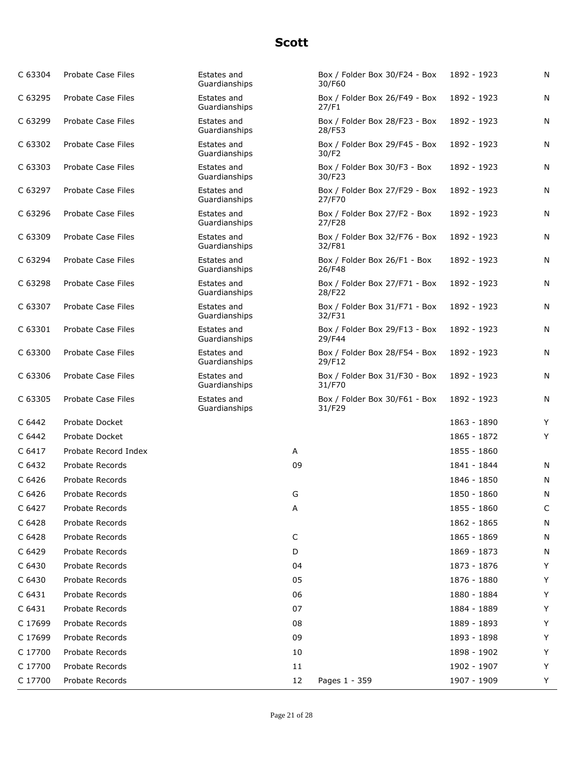| C 63304 | Probate Case Files        | Estates and<br>Guardianships |    | Box / Folder Box 30/F24 - Box<br>30/F60 | 1892 - 1923 | N |
|---------|---------------------------|------------------------------|----|-----------------------------------------|-------------|---|
| C 63295 | <b>Probate Case Files</b> | Estates and<br>Guardianships |    | Box / Folder Box 26/F49 - Box<br>27/F1  | 1892 - 1923 | N |
| C 63299 | <b>Probate Case Files</b> | Estates and<br>Guardianships |    | Box / Folder Box 28/F23 - Box<br>28/F53 | 1892 - 1923 | N |
| C 63302 | <b>Probate Case Files</b> | Estates and<br>Guardianships |    | Box / Folder Box 29/F45 - Box<br>30/F2  | 1892 - 1923 | N |
| C 63303 | Probate Case Files        | Estates and<br>Guardianships |    | Box / Folder Box 30/F3 - Box<br>30/F23  | 1892 - 1923 | N |
| C 63297 | <b>Probate Case Files</b> | Estates and<br>Guardianships |    | Box / Folder Box 27/F29 - Box<br>27/F70 | 1892 - 1923 | N |
| C 63296 | Probate Case Files        | Estates and<br>Guardianships |    | Box / Folder Box 27/F2 - Box<br>27/F28  | 1892 - 1923 | N |
| C 63309 | Probate Case Files        | Estates and<br>Guardianships |    | Box / Folder Box 32/F76 - Box<br>32/F81 | 1892 - 1923 | N |
| C 63294 | Probate Case Files        | Estates and<br>Guardianships |    | Box / Folder Box 26/F1 - Box<br>26/F48  | 1892 - 1923 | N |
| C 63298 | <b>Probate Case Files</b> | Estates and<br>Guardianships |    | Box / Folder Box 27/F71 - Box<br>28/F22 | 1892 - 1923 | N |
| C 63307 | <b>Probate Case Files</b> | Estates and<br>Guardianships |    | Box / Folder Box 31/F71 - Box<br>32/F31 | 1892 - 1923 | N |
| C 63301 | <b>Probate Case Files</b> | Estates and<br>Guardianships |    | Box / Folder Box 29/F13 - Box<br>29/F44 | 1892 - 1923 | N |
| C 63300 | <b>Probate Case Files</b> | Estates and<br>Guardianships |    | Box / Folder Box 28/F54 - Box<br>29/F12 | 1892 - 1923 | N |
| C 63306 | <b>Probate Case Files</b> | Estates and<br>Guardianships |    | Box / Folder Box 31/F30 - Box<br>31/F70 | 1892 - 1923 | N |
| C 63305 | <b>Probate Case Files</b> | Estates and<br>Guardianships |    | Box / Folder Box 30/F61 - Box<br>31/F29 | 1892 - 1923 | N |
| C 6442  | Probate Docket            |                              |    |                                         | 1863 - 1890 | Y |
| C 6442  | Probate Docket            |                              |    |                                         | 1865 - 1872 | Y |
| C 6417  | Probate Record Index      |                              | Α  |                                         | 1855 - 1860 |   |
| C 6432  | <b>Probate Records</b>    |                              | 09 |                                         | 1841 - 1844 | N |
| C 6426  | Probate Records           |                              |    |                                         | 1846 - 1850 | N |
| C 6426  | Probate Records           |                              | G  |                                         | 1850 - 1860 | N |
| C 6427  | Probate Records           |                              | Α  |                                         | 1855 - 1860 | С |
| C 6428  | Probate Records           |                              |    |                                         | 1862 - 1865 | N |
| C 6428  | Probate Records           |                              | C  |                                         | 1865 - 1869 | N |
| C 6429  | <b>Probate Records</b>    |                              | D  |                                         | 1869 - 1873 | N |
| C 6430  | Probate Records           |                              | 04 |                                         | 1873 - 1876 | Y |
| C 6430  | Probate Records           |                              | 05 |                                         | 1876 - 1880 | Υ |
| C 6431  | Probate Records           |                              | 06 |                                         | 1880 - 1884 | Y |
| C 6431  | Probate Records           |                              | 07 |                                         | 1884 - 1889 | Y |
| C 17699 | Probate Records           |                              | 08 |                                         | 1889 - 1893 | Y |
| C 17699 | Probate Records           |                              | 09 |                                         | 1893 - 1898 | Υ |
| C 17700 | Probate Records           |                              | 10 |                                         | 1898 - 1902 | Y |
| C 17700 | Probate Records           |                              | 11 |                                         | 1902 - 1907 | Y |
| C 17700 | Probate Records           |                              | 12 | Pages 1 - 359                           | 1907 - 1909 | Y |
|         |                           |                              |    |                                         |             |   |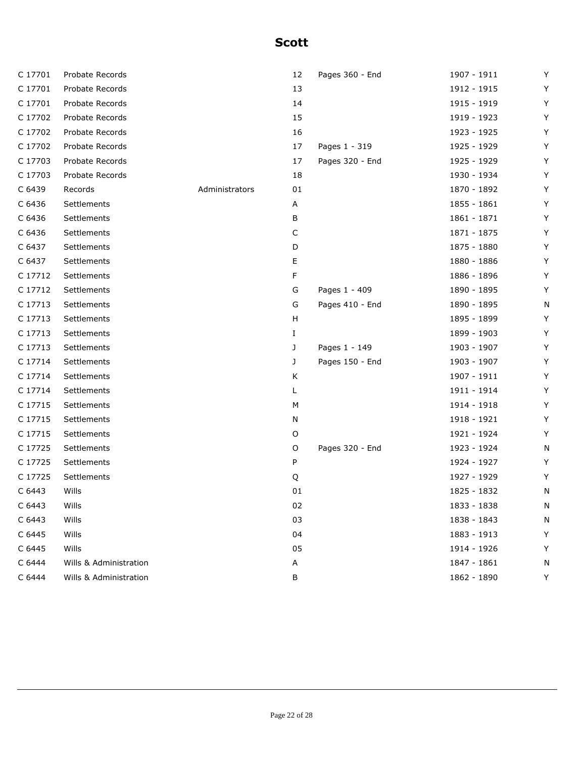| C 17701 | Probate Records        |                | 12 | Pages 360 - End | 1907 - 1911 | Y |
|---------|------------------------|----------------|----|-----------------|-------------|---|
| C 17701 | Probate Records        |                | 13 |                 | 1912 - 1915 | Y |
| C 17701 | Probate Records        |                | 14 |                 | 1915 - 1919 | Y |
| C 17702 | Probate Records        |                | 15 |                 | 1919 - 1923 | Y |
| C 17702 | Probate Records        |                | 16 |                 | 1923 - 1925 | Y |
| C 17702 | Probate Records        |                | 17 | Pages 1 - 319   | 1925 - 1929 | Y |
| C 17703 | Probate Records        |                | 17 | Pages 320 - End | 1925 - 1929 | Y |
| C 17703 | Probate Records        |                | 18 |                 | 1930 - 1934 | Y |
| C 6439  | Records                | Administrators | 01 |                 | 1870 - 1892 | Y |
| C 6436  | Settlements            |                | A  |                 | 1855 - 1861 | Y |
| C 6436  | Settlements            |                | В  |                 | 1861 - 1871 | Y |
| C 6436  | Settlements            |                | С  |                 | 1871 - 1875 | Y |
| C 6437  | Settlements            |                | D  |                 | 1875 - 1880 | Y |
| C 6437  | Settlements            |                | Е  |                 | 1880 - 1886 | Y |
| C 17712 | Settlements            |                | F  |                 | 1886 - 1896 | Y |
| C 17712 | Settlements            |                | G  | Pages 1 - 409   | 1890 - 1895 | Y |
| C 17713 | Settlements            |                | G  | Pages 410 - End | 1890 - 1895 | N |
| C 17713 | Settlements            |                | н  |                 | 1895 - 1899 | Y |
| C 17713 | Settlements            |                | Ι. |                 | 1899 - 1903 | Y |
| C 17713 | Settlements            |                | J  | Pages 1 - 149   | 1903 - 1907 | Y |
| C 17714 | Settlements            |                | J  | Pages 150 - End | 1903 - 1907 | Y |
| C 17714 | Settlements            |                | Κ  |                 | 1907 - 1911 | Y |
| C 17714 | Settlements            |                | L. |                 | 1911 - 1914 | Y |
| C 17715 | Settlements            |                | М  |                 | 1914 - 1918 | Y |
| C 17715 | Settlements            |                | Ν  |                 | 1918 - 1921 | Y |
| C 17715 | Settlements            |                | O  |                 | 1921 - 1924 | Y |
| C 17725 | Settlements            |                | O  | Pages 320 - End | 1923 - 1924 | N |
| C 17725 | Settlements            |                | P  |                 | 1924 - 1927 | Y |
| C 17725 | Settlements            |                | Q  |                 | 1927 - 1929 | Y |
| C 6443  | Wills                  |                | 01 |                 | 1825 - 1832 | N |
| C 6443  | Wills                  |                | 02 |                 | 1833 - 1838 | N |
| C 6443  | Wills                  |                | 03 |                 | 1838 - 1843 | N |
| C 6445  | Wills                  |                | 04 |                 | 1883 - 1913 | Y |
| C 6445  | Wills                  |                | 05 |                 | 1914 - 1926 | Y |
| C 6444  | Wills & Administration |                | Α  |                 | 1847 - 1861 | N |
| C 6444  | Wills & Administration |                | В  |                 | 1862 - 1890 | Y |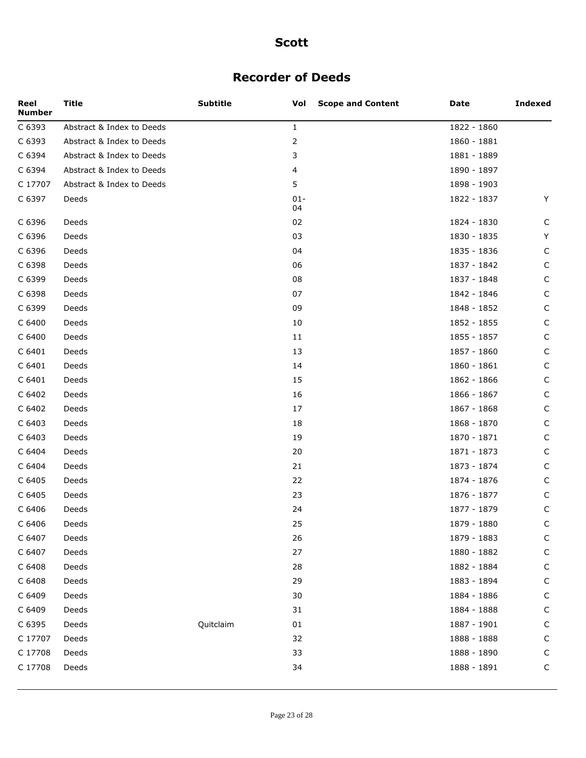## **Recorder of Deeds**

| Reel<br><b>Number</b> | <b>Title</b>              | <b>Subtitle</b> | <b>Scope and Content</b><br>Vol | Date        | <b>Indexed</b> |
|-----------------------|---------------------------|-----------------|---------------------------------|-------------|----------------|
| C 6393                | Abstract & Index to Deeds |                 | $\mathbf{1}$                    | 1822 - 1860 |                |
| C 6393                | Abstract & Index to Deeds |                 | $\overline{2}$                  | 1860 - 1881 |                |
| C 6394                | Abstract & Index to Deeds |                 | 3                               | 1881 - 1889 |                |
| C 6394                | Abstract & Index to Deeds |                 | 4                               | 1890 - 1897 |                |
| C 17707               | Abstract & Index to Deeds |                 | 5                               | 1898 - 1903 |                |
| C 6397                | Deeds                     |                 | $01 -$<br>04                    | 1822 - 1837 | Y              |
| C 6396                | Deeds                     |                 | 02                              | 1824 - 1830 | C              |
| C 6396                | Deeds                     |                 | 03                              | 1830 - 1835 | Y              |
| C 6396                | Deeds                     |                 | 04                              | 1835 - 1836 | C              |
| C 6398                | Deeds                     |                 | 06                              | 1837 - 1842 | C              |
| C 6399                | Deeds                     |                 | 08                              | 1837 - 1848 | C              |
| C 6398                | Deeds                     |                 | 07                              | 1842 - 1846 | C              |
| C 6399                | Deeds                     |                 | 09                              | 1848 - 1852 | C              |
| C 6400                | Deeds                     |                 | 10                              | 1852 - 1855 | C              |
| C 6400                | Deeds                     |                 | 11                              | 1855 - 1857 | C              |
| C 6401                | Deeds                     |                 | 13                              | 1857 - 1860 | C              |
| C 6401                | Deeds                     |                 | 14                              | 1860 - 1861 | C              |
| C 6401                | Deeds                     |                 | 15                              | 1862 - 1866 | C              |
| C 6402                | Deeds                     |                 | 16                              | 1866 - 1867 | C              |
| C 6402                | Deeds                     |                 | 17                              | 1867 - 1868 | C              |
| C 6403                | Deeds                     |                 | 18                              | 1868 - 1870 | C              |
| C 6403                | Deeds                     |                 | 19                              | 1870 - 1871 | C              |
| C 6404                | Deeds                     |                 | 20                              | 1871 - 1873 | C              |
| C 6404                | Deeds                     |                 | 21                              | 1873 - 1874 | C              |
| C 6405                | Deeds                     |                 | 22                              | 1874 - 1876 | C              |
| C 6405                | Deeds                     |                 | 23                              | 1876 - 1877 | C              |
| C 6406                | Deeds                     |                 | 24                              | 1877 - 1879 | C              |
| C 6406                | Deeds                     |                 | 25                              | 1879 - 1880 | C              |
| C 6407                | Deeds                     |                 | 26                              | 1879 - 1883 | C              |
| C 6407                | Deeds                     |                 | 27                              | 1880 - 1882 | C              |
| C 6408                | Deeds                     |                 | 28                              | 1882 - 1884 | C              |
| C 6408                | Deeds                     |                 | 29                              | 1883 - 1894 | C              |
| C 6409                | Deeds                     |                 | 30                              | 1884 - 1886 | C              |
| C 6409                | Deeds                     |                 | 31                              | 1884 - 1888 | C              |
| C 6395                | Deeds                     | Quitclaim       | 01                              | 1887 - 1901 | C              |
| C 17707               | Deeds                     |                 | 32                              | 1888 - 1888 | $\mathsf{C}$   |
| C 17708               | Deeds                     |                 | 33                              | 1888 - 1890 | C              |
| C 17708               | Deeds                     |                 | 34                              | 1888 - 1891 | $\mathsf C$    |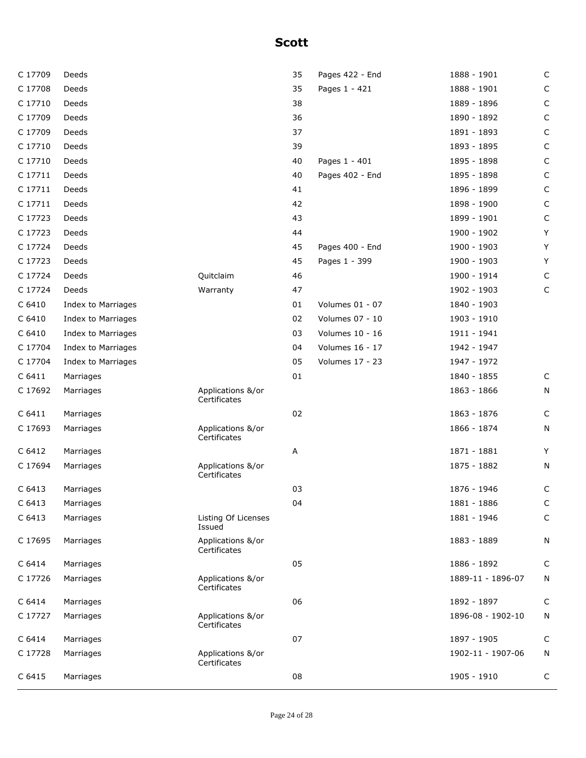| C 17709 | Deeds              |                                   | 35 | Pages 422 - End | 1888 - 1901       | C           |
|---------|--------------------|-----------------------------------|----|-----------------|-------------------|-------------|
| C 17708 | Deeds              |                                   | 35 | Pages 1 - 421   | 1888 - 1901       | С           |
| C 17710 | Deeds              |                                   | 38 |                 | 1889 - 1896       | C           |
| C 17709 | Deeds              |                                   | 36 |                 | 1890 - 1892       | C           |
| C 17709 | Deeds              |                                   | 37 |                 | 1891 - 1893       | C           |
| C 17710 | Deeds              |                                   | 39 |                 | 1893 - 1895       | $\mathsf C$ |
| C 17710 | Deeds              |                                   | 40 | Pages 1 - 401   | 1895 - 1898       | C           |
| C 17711 | Deeds              |                                   | 40 | Pages 402 - End | 1895 - 1898       | C           |
| C 17711 | Deeds              |                                   | 41 |                 | 1896 - 1899       | C           |
| C 17711 | Deeds              |                                   | 42 |                 | 1898 - 1900       | C           |
| C 17723 | Deeds              |                                   | 43 |                 | 1899 - 1901       | C           |
| C 17723 | Deeds              |                                   | 44 |                 | 1900 - 1902       | Y           |
| C 17724 | Deeds              |                                   | 45 | Pages 400 - End | 1900 - 1903       | Y           |
| C 17723 | Deeds              |                                   | 45 | Pages 1 - 399   | 1900 - 1903       | Y           |
| C 17724 | Deeds              | Quitclaim                         | 46 |                 | 1900 - 1914       | C           |
| C 17724 | Deeds              | Warranty                          | 47 |                 | 1902 - 1903       | C           |
| C 6410  | Index to Marriages |                                   | 01 | Volumes 01 - 07 | 1840 - 1903       |             |
| C 6410  | Index to Marriages |                                   | 02 | Volumes 07 - 10 | 1903 - 1910       |             |
| C 6410  | Index to Marriages |                                   | 03 | Volumes 10 - 16 | 1911 - 1941       |             |
| C 17704 | Index to Marriages |                                   | 04 | Volumes 16 - 17 | 1942 - 1947       |             |
| C 17704 | Index to Marriages |                                   | 05 | Volumes 17 - 23 | 1947 - 1972       |             |
| C 6411  | Marriages          |                                   | 01 |                 | 1840 - 1855       | C           |
| C 17692 | Marriages          | Applications &/or<br>Certificates |    |                 | 1863 - 1866       | N           |
| C 6411  | Marriages          |                                   | 02 |                 | 1863 - 1876       | C           |
| C 17693 | Marriages          | Applications &/or<br>Certificates |    |                 | 1866 - 1874       | N           |
| C 6412  | Marriages          |                                   | А  |                 | 1871 - 1881       | Y           |
| C 17694 | Marriages          | Applications &/or<br>Certificates |    |                 | 1875 - 1882       | Ν           |
| C 6413  | Marriages          |                                   | 03 |                 | 1876 - 1946       | С           |
| C 6413  | Marriages          |                                   | 04 |                 | 1881 - 1886       | C           |
| C 6413  | Marriages          | Listing Of Licenses<br>Issued     |    |                 | 1881 - 1946       | $\mathsf C$ |
| C 17695 | Marriages          | Applications &/or<br>Certificates |    |                 | 1883 - 1889       | Ν           |
| C 6414  | Marriages          |                                   | 05 |                 | 1886 - 1892       | C           |
| C 17726 | Marriages          | Applications &/or<br>Certificates |    |                 | 1889-11 - 1896-07 | N           |
| C 6414  | Marriages          |                                   | 06 |                 | 1892 - 1897       | C           |
| C 17727 | Marriages          | Applications &/or<br>Certificates |    |                 | 1896-08 - 1902-10 | N           |
| C 6414  | Marriages          |                                   | 07 |                 | 1897 - 1905       | C           |
| C 17728 | Marriages          | Applications &/or<br>Certificates |    |                 | 1902-11 - 1907-06 | N           |
| C 6415  | Marriages          |                                   | 08 |                 | 1905 - 1910       | C           |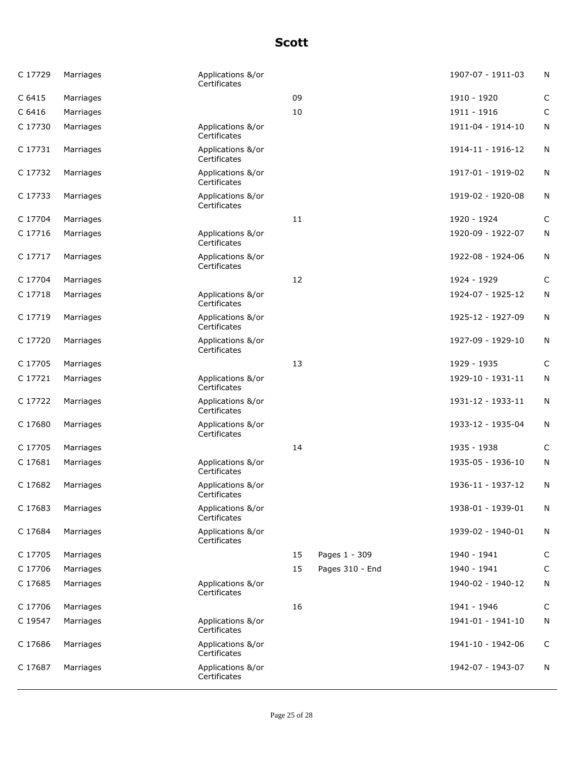| C 17729 | Marriages | Applications &/or<br>Certificates |    |                 | 1907-07 - 1911-03 | N           |
|---------|-----------|-----------------------------------|----|-----------------|-------------------|-------------|
| C 6415  | Marriages |                                   | 09 |                 | 1910 - 1920       | C           |
| C 6416  | Marriages |                                   | 10 |                 | 1911 - 1916       | $\mathsf C$ |
| C 17730 | Marriages | Applications &/or<br>Certificates |    |                 | 1911-04 - 1914-10 | N           |
| C 17731 | Marriages | Applications &/or<br>Certificates |    |                 | 1914-11 - 1916-12 | N           |
| C 17732 | Marriages | Applications &/or<br>Certificates |    |                 | 1917-01 - 1919-02 | N           |
| C 17733 | Marriages | Applications &/or<br>Certificates |    |                 | 1919-02 - 1920-08 | N           |
| C 17704 | Marriages |                                   | 11 |                 | 1920 - 1924       | C           |
| C 17716 | Marriages | Applications &/or<br>Certificates |    |                 | 1920-09 - 1922-07 | N           |
| C 17717 | Marriages | Applications &/or<br>Certificates |    |                 | 1922-08 - 1924-06 | N           |
| C 17704 | Marriages |                                   | 12 |                 | 1924 - 1929       | C           |
| C 17718 | Marriages | Applications &/or<br>Certificates |    |                 | 1924-07 - 1925-12 | N           |
| C 17719 | Marriages | Applications &/or<br>Certificates |    |                 | 1925-12 - 1927-09 | N           |
| C 17720 | Marriages | Applications &/or<br>Certificates |    |                 | 1927-09 - 1929-10 | N           |
| C 17705 | Marriages |                                   | 13 |                 | 1929 - 1935       | $\mathsf C$ |
| C 17721 | Marriages | Applications &/or<br>Certificates |    |                 | 1929-10 - 1931-11 | N           |
| C 17722 | Marriages | Applications &/or<br>Certificates |    |                 | 1931-12 - 1933-11 | N           |
| C 17680 | Marriages | Applications &/or<br>Certificates |    |                 | 1933-12 - 1935-04 | N           |
| C 17705 | Marriages |                                   | 14 |                 | 1935 - 1938       | C           |
| C 17681 | Marriages | Applications &/or<br>Certificates |    |                 | 1935-05 - 1936-10 | N           |
| C 17682 | Marriages | Applications &/or<br>Certificates |    |                 | 1936-11 - 1937-12 | N           |
| C 17683 | Marriages | Applications &/or<br>Certificates |    |                 | 1938-01 - 1939-01 | N           |
| C 17684 | Marriages | Applications &/or<br>Certificates |    |                 | 1939-02 - 1940-01 | N           |
| C 17705 | Marriages |                                   | 15 | Pages 1 - 309   | 1940 - 1941       | $\mathsf C$ |
| C 17706 | Marriages |                                   | 15 | Pages 310 - End | 1940 - 1941       | C           |
| C 17685 | Marriages | Applications &/or<br>Certificates |    |                 | 1940-02 - 1940-12 | N           |
| C 17706 | Marriages |                                   | 16 |                 | 1941 - 1946       | C           |
| C 19547 | Marriages | Applications &/or<br>Certificates |    |                 | 1941-01 - 1941-10 | N           |
| C 17686 | Marriages | Applications &/or<br>Certificates |    |                 | 1941-10 - 1942-06 | C           |
| C 17687 | Marriages | Applications &/or<br>Certificates |    |                 | 1942-07 - 1943-07 | N           |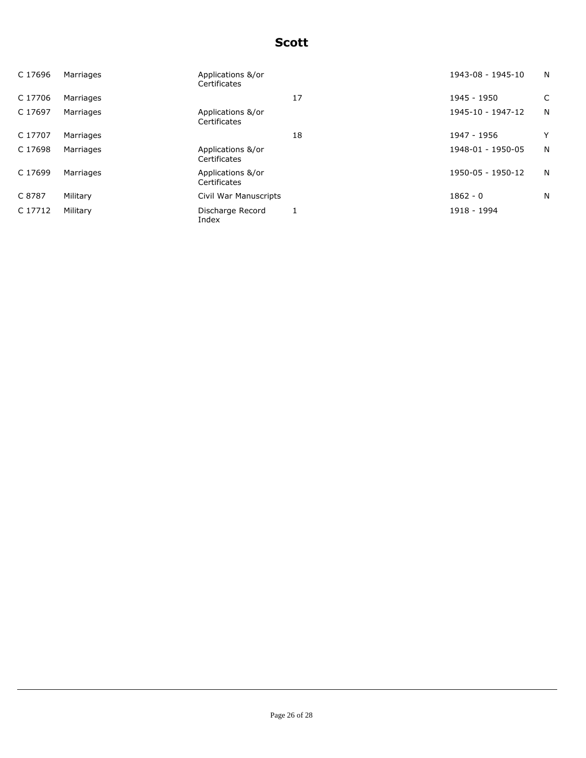| C 17696 | Marriages | Applications &/or<br>Certificates |    | 1943-08 - 1945-10 | N |
|---------|-----------|-----------------------------------|----|-------------------|---|
| C 17706 | Marriages |                                   | 17 | 1945 - 1950       | C |
| C 17697 | Marriages | Applications &/or<br>Certificates |    | 1945-10 - 1947-12 | N |
| C 17707 | Marriages |                                   | 18 | 1947 - 1956       | Y |
| C 17698 | Marriages | Applications &/or<br>Certificates |    | 1948-01 - 1950-05 | N |
| C 17699 | Marriages | Applications &/or<br>Certificates |    | 1950-05 - 1950-12 | N |
| C 8787  | Military  | Civil War Manuscripts             |    | $1862 - 0$        | N |
| C 17712 | Military  | Discharge Record<br>Index         |    | 1918 - 1994       |   |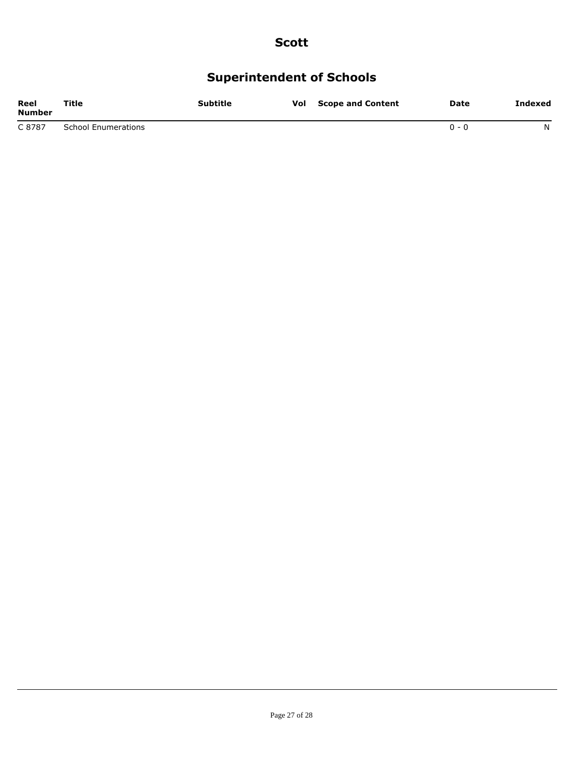# **Superintendent of Schools**

| Reel<br><b>Number</b> | Title                      | Subtitle | Vol | <b>Scope and Content</b> | Date  | Indexed |
|-----------------------|----------------------------|----------|-----|--------------------------|-------|---------|
| C 8787                | <b>School Enumerations</b> |          |     |                          | በ - በ | N       |